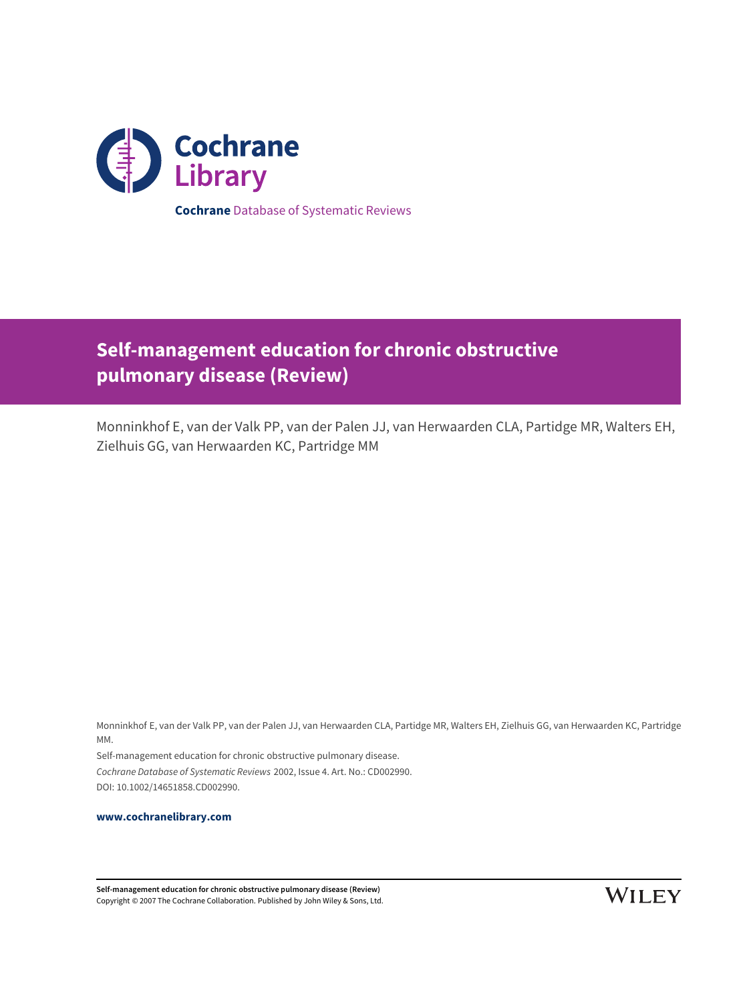

**Self-management education for chronic obstructive pulmonary disease (Review)**

Monninkhof E, van der Valk PP, van der Palen JJ, van Herwaarden CLA, Partidge MR, Walters EH, Zielhuis GG, van Herwaarden KC, Partridge MM

Monninkhof E, van der Valk PP, van der Palen JJ, van Herwaarden CLA, Partidge MR, Walters EH, Zielhuis GG, van Herwaarden KC, Partridge MM.

Self-management education for chronic obstructive pulmonary disease. Cochrane Database of Systematic Reviews 2002, Issue 4. Art. No.: CD002990. DOI: 10.1002/14651858.CD002990.

**[www.cochranelibrary.com](http://www.cochranelibrary.com)**

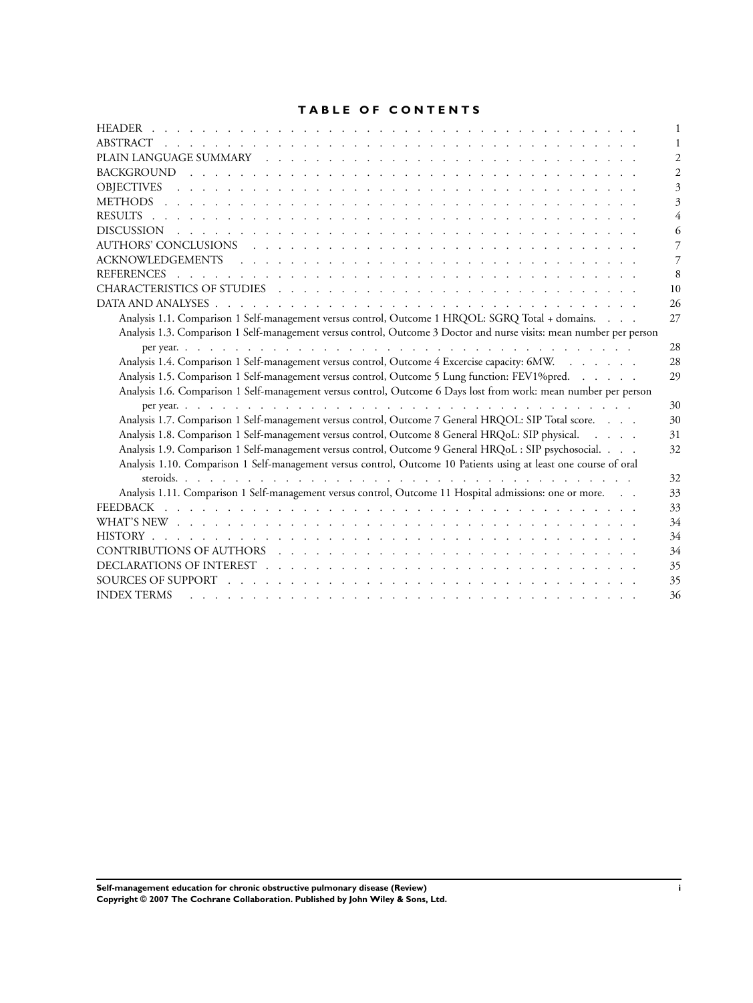## **TABLE OF CONTENTS**

| 10                                                                                                                                 |
|------------------------------------------------------------------------------------------------------------------------------------|
| 26                                                                                                                                 |
| Analysis 1.1. Comparison 1 Self-management versus control, Outcome 1 HRQOL: SGRQ Total + domains.<br>27                            |
| Analysis 1.3. Comparison 1 Self-management versus control, Outcome 3 Doctor and nurse visits: mean number per person               |
| 28                                                                                                                                 |
| Analysis 1.4. Comparison 1 Self-management versus control, Outcome 4 Excercise capacity: 6MW.<br>28                                |
| Analysis 1.5. Comparison 1 Self-management versus control, Outcome 5 Lung function: FEV1%pred.<br>29                               |
| Analysis 1.6. Comparison 1 Self-management versus control, Outcome 6 Days lost from work: mean number per person                   |
| 30                                                                                                                                 |
| Analysis 1.7. Comparison 1 Self-management versus control, Outcome 7 General HRQOL: SIP Total score.<br>30                         |
| Analysis 1.8. Comparison 1 Self-management versus control, Outcome 8 General HRQoL: SIP physical.<br>31                            |
| Analysis 1.9. Comparison 1 Self-management versus control, Outcome 9 General HRQoL: SIP psychosocial.<br>32                        |
| Analysis 1.10. Comparison 1 Self-management versus control, Outcome 10 Patients using at least one course of oral                  |
| 32                                                                                                                                 |
| Analysis 1.11. Comparison 1 Self-management versus control, Outcome 11 Hospital admissions: one or more.<br>33                     |
| 33                                                                                                                                 |
| 34                                                                                                                                 |
| 34                                                                                                                                 |
| 34                                                                                                                                 |
| 35                                                                                                                                 |
| 35                                                                                                                                 |
| <b>INDEX TERMS</b><br>36<br><u>. In the second terms of the second terms of the second terms of the second terms of the second</u> |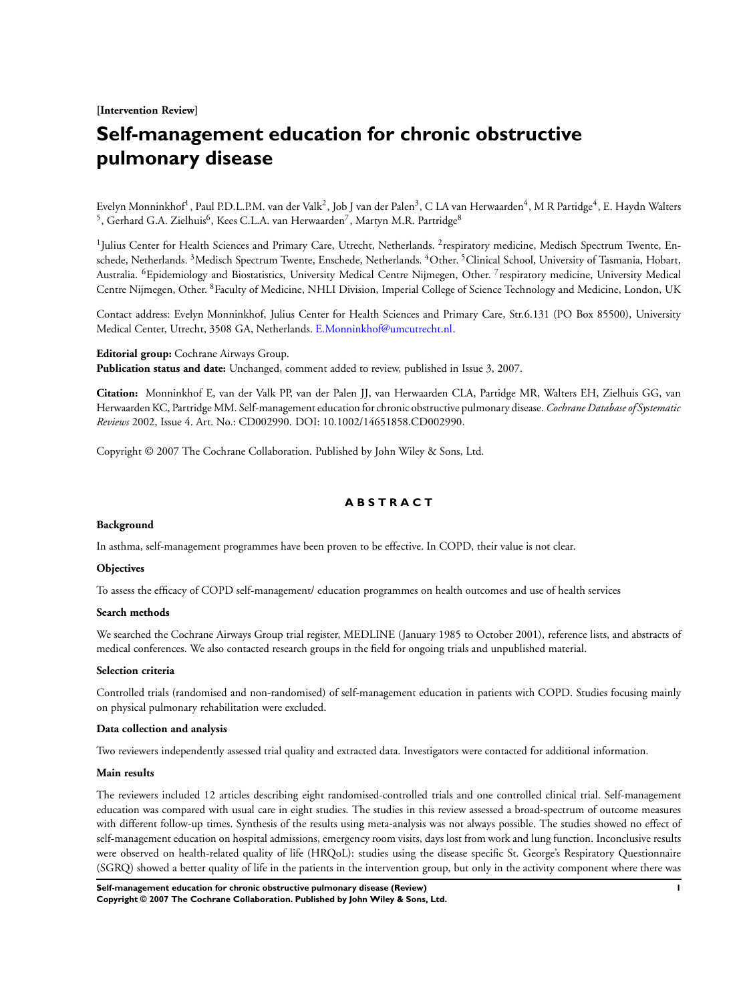**[Intervention Review]**

# **Self-management education for chronic obstructive pulmonary disease**

Evelyn Monninkhof<sup>1</sup>, Paul P.D.L.P.M. van der Valk<sup>2</sup>, Job J van der Palen<sup>3</sup>, C LA van Herwaarden<sup>4</sup>, M R Partidge<sup>4</sup>, E. Haydn Walters <sup>5</sup>, Gerhard G.A. Zielhuis<sup>6</sup>, Kees C.L.A. van Herwaarden<sup>7</sup>, Martyn M.R. Partridge<sup>8</sup>

<sup>1</sup>Julius Center for Health Sciences and Primary Care, Utrecht, Netherlands. <sup>2</sup>respiratory medicine, Medisch Spectrum Twente, Enschede, Netherlands. <sup>3</sup>Medisch Spectrum Twente, Enschede, Netherlands. <sup>4</sup>Other. <sup>5</sup>Clinical School, University of Tasmania, Hobart, Australia. <sup>6</sup>Epidemiology and Biostatistics, University Medical Centre Nijmegen, Other. <sup>7</sup> respiratory medicine, University Medical Centre Nijmegen, Other. <sup>8</sup>Faculty of Medicine, NHLI Division, Imperial College of Science Technology and Medicine, London, UK

Contact address: Evelyn Monninkhof, Julius Center for Health Sciences and Primary Care, Str.6.131 (PO Box 85500), University Medical Center, Utrecht, 3508 GA, Netherlands. [E.Monninkhof@umcutrecht.nl.](mailto:E.Monninkhof@umcutrecht.nl)

**Editorial group:** Cochrane Airways Group. **Publication status and date:** Unchanged, comment added to review, published in Issue 3, 2007.

**Citation:** Monninkhof E, van der Valk PP, van der Palen JJ, van Herwaarden CLA, Partidge MR, Walters EH, Zielhuis GG, van Herwaarden KC, Partridge MM. Self-management education for chronic obstructive pulmonary disease. *Cochrane Database of Systematic Reviews* 2002, Issue 4. Art. No.: CD002990. DOI: 10.1002/14651858.CD002990.

Copyright © 2007 The Cochrane Collaboration. Published by John Wiley & Sons, Ltd.

## **A B S T R A C T**

#### **Background**

In asthma, self-management programmes have been proven to be effective. In COPD, their value is not clear.

#### **Objectives**

To assess the efficacy of COPD self-management/ education programmes on health outcomes and use of health services

### **Search methods**

We searched the Cochrane Airways Group trial register, MEDLINE (January 1985 to October 2001), reference lists, and abstracts of medical conferences. We also contacted research groups in the field for ongoing trials and unpublished material.

#### **Selection criteria**

Controlled trials (randomised and non-randomised) of self-management education in patients with COPD. Studies focusing mainly on physical pulmonary rehabilitation were excluded.

## **Data collection and analysis**

Two reviewers independently assessed trial quality and extracted data. Investigators were contacted for additional information.

#### **Main results**

The reviewers included 12 articles describing eight randomised-controlled trials and one controlled clinical trial. Self-management education was compared with usual care in eight studies. The studies in this review assessed a broad-spectrum of outcome measures with different follow-up times. Synthesis of the results using meta-analysis was not always possible. The studies showed no effect of self-management education on hospital admissions, emergency room visits, days lost from work and lung function. Inconclusive results were observed on health-related quality of life (HRQoL): studies using the disease specific St. George's Respiratory Questionnaire (SGRQ) showed a better quality of life in the patients in the intervention group, but only in the activity component where there was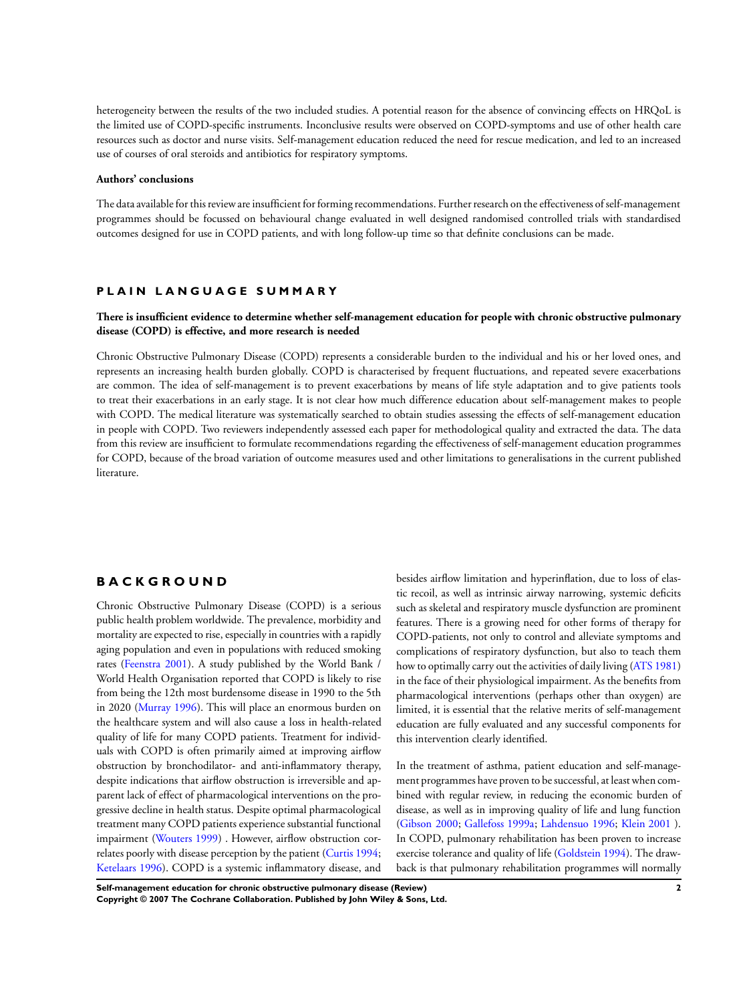heterogeneity between the results of the two included studies. A potential reason for the absence of convincing effects on HRQoL is the limited use of COPD-specific instruments. Inconclusive results were observed on COPD-symptoms and use of other health care resources such as doctor and nurse visits. Self-management education reduced the need for rescue medication, and led to an increased use of courses of oral steroids and antibiotics for respiratory symptoms.

#### **Authors' conclusions**

The data available for this review are insufficient for forming recommendations. Further research on the effectiveness of self-management programmes should be focussed on behavioural change evaluated in well designed randomised controlled trials with standardised outcomes designed for use in COPD patients, and with long follow-up time so that definite conclusions can be made.

## **P L A I N L A N G U A G E S U M M A R Y**

## **There is insufficient evidence to determine whether self-management education for people with chronic obstructive pulmonary disease (COPD) is effective, and more research is needed**

Chronic Obstructive Pulmonary Disease (COPD) represents a considerable burden to the individual and his or her loved ones, and represents an increasing health burden globally. COPD is characterised by frequent fluctuations, and repeated severe exacerbations are common. The idea of self-management is to prevent exacerbations by means of life style adaptation and to give patients tools to treat their exacerbations in an early stage. It is not clear how much difference education about self-management makes to people with COPD. The medical literature was systematically searched to obtain studies assessing the effects of self-management education in people with COPD. Two reviewers independently assessed each paper for methodological quality and extracted the data. The data from this review are insufficient to formulate recommendations regarding the effectiveness of self-management education programmes for COPD, because of the broad variation of outcome measures used and other limitations to generalisations in the current published literature.

### **B A C K G R O U N D**

Chronic Obstructive Pulmonary Disease (COPD) is a serious public health problem worldwide. The prevalence, morbidity and mortality are expected to rise, especially in countries with a rapidly aging population and even in populations with reduced smoking rates [\(Feenstra 2001](#page-9-0)). A study published by the World Bank / World Health Organisation reported that COPD is likely to rise from being the 12th most burdensome disease in 1990 to the 5th in 2020 [\(Murray 1996\)](#page-9-0). This will place an enormous burden on the healthcare system and will also cause a loss in health-related quality of life for many COPD patients. Treatment for individuals with COPD is often primarily aimed at improving airflow obstruction by bronchodilator- and anti-inflammatory therapy, despite indications that airflow obstruction is irreversible and apparent lack of effect of pharmacological interventions on the progressive decline in health status. Despite optimal pharmacological treatment many COPD patients experience substantial functional impairment ([Wouters 1999](#page-9-0)) . However, airflow obstruction correlates poorly with disease perception by the patient [\(Curtis 1994;](#page-9-0) [Ketelaars 1996](#page-9-0)). COPD is a systemic inflammatory disease, and besides airflow limitation and hyperinflation, due to loss of elastic recoil, as well as intrinsic airway narrowing, systemic deficits such as skeletal and respiratory muscle dysfunction are prominent features. There is a growing need for other forms of therapy for COPD-patients, not only to control and alleviate symptoms and complications of respiratory dysfunction, but also to teach them how to optimally carry out the activities of daily living ([ATS 1981](#page-9-0)) in the face of their physiological impairment. As the benefits from pharmacological interventions (perhaps other than oxygen) are limited, it is essential that the relative merits of self-management education are fully evaluated and any successful components for this intervention clearly identified.

In the treatment of asthma, patient education and self-management programmes have proven to be successful, at least when combined with regular review, in reducing the economic burden of disease, as well as in improving quality of life and lung function [\(Gibson 2000](#page-9-0); [Gallefoss 1999a](#page-9-0); [Lahdensuo 1996](#page-9-0); [Klein 2001](#page-9-0) ). In COPD, pulmonary rehabilitation has been proven to increase exercise tolerance and quality of life ([Goldstein 1994\)](#page-9-0). The drawback is that pulmonary rehabilitation programmes will normally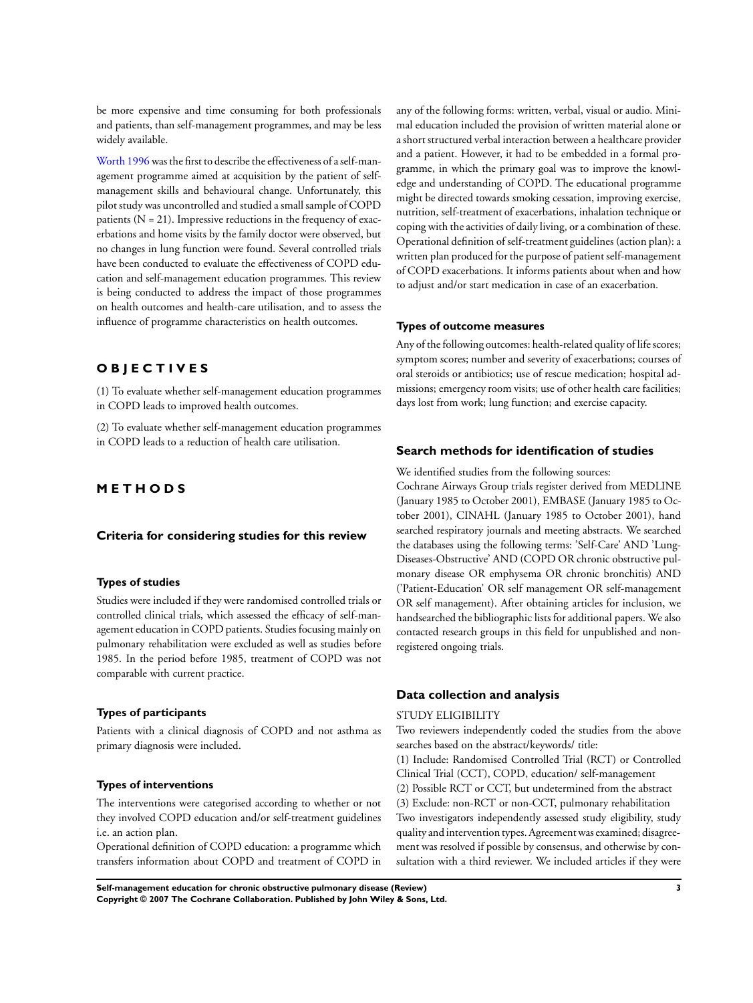be more expensive and time consuming for both professionals and patients, than self-management programmes, and may be less widely available.

[Worth 1996](#page-9-0) was the first to describe the effectiveness of a self-management programme aimed at acquisition by the patient of selfmanagement skills and behavioural change. Unfortunately, this pilot study was uncontrolled and studied a small sample of COPD patients  $(N = 21)$ . Impressive reductions in the frequency of exacerbations and home visits by the family doctor were observed, but no changes in lung function were found. Several controlled trials have been conducted to evaluate the effectiveness of COPD education and self-management education programmes. This review is being conducted to address the impact of those programmes on health outcomes and health-care utilisation, and to assess the influence of programme characteristics on health outcomes.

## **O B J E C T I V E S**

(1) To evaluate whether self-management education programmes in COPD leads to improved health outcomes.

(2) To evaluate whether self-management education programmes in COPD leads to a reduction of health care utilisation.

## **M E T H O D S**

### **Criteria for considering studies for this review**

### **Types of studies**

Studies were included if they were randomised controlled trials or controlled clinical trials, which assessed the efficacy of self-management education in COPD patients. Studies focusing mainly on pulmonary rehabilitation were excluded as well as studies before 1985. In the period before 1985, treatment of COPD was not comparable with current practice.

## **Types of participants**

Patients with a clinical diagnosis of COPD and not asthma as primary diagnosis were included.

### **Types of interventions**

The interventions were categorised according to whether or not they involved COPD education and/or self-treatment guidelines i.e. an action plan.

Operational definition of COPD education: a programme which transfers information about COPD and treatment of COPD in any of the following forms: written, verbal, visual or audio. Minimal education included the provision of written material alone or a short structured verbal interaction between a healthcare provider and a patient. However, it had to be embedded in a formal programme, in which the primary goal was to improve the knowledge and understanding of COPD. The educational programme might be directed towards smoking cessation, improving exercise, nutrition, self-treatment of exacerbations, inhalation technique or coping with the activities of daily living, or a combination of these. Operational definition of self-treatment guidelines (action plan): a written plan produced for the purpose of patient self-management of COPD exacerbations. It informs patients about when and how to adjust and/or start medication in case of an exacerbation.

#### **Types of outcome measures**

Any of the following outcomes: health-related quality of life scores; symptom scores; number and severity of exacerbations; courses of oral steroids or antibiotics; use of rescue medication; hospital admissions; emergency room visits; use of other health care facilities; days lost from work; lung function; and exercise capacity.

### **Search methods for identification of studies**

We identified studies from the following sources:

Cochrane Airways Group trials register derived from MEDLINE (January 1985 to October 2001), EMBASE (January 1985 to October 2001), CINAHL (January 1985 to October 2001), hand searched respiratory journals and meeting abstracts. We searched the databases using the following terms: 'Self-Care' AND 'Lung-Diseases-Obstructive' AND (COPD OR chronic obstructive pulmonary disease OR emphysema OR chronic bronchitis) AND ('Patient-Education' OR self management OR self-management OR self management). After obtaining articles for inclusion, we handsearched the bibliographic lists for additional papers. We also contacted research groups in this field for unpublished and nonregistered ongoing trials.

## **Data collection and analysis**

#### STUDY ELIGIBILITY

Two reviewers independently coded the studies from the above searches based on the abstract/keywords/ title: (1) Include: Randomised Controlled Trial (RCT) or Controlled Clinical Trial (CCT), COPD, education/ self-management (2) Possible RCT or CCT, but undetermined from the abstract (3) Exclude: non-RCT or non-CCT, pulmonary rehabilitation Two investigators independently assessed study eligibility, study quality and intervention types. Agreement was examined; disagreement was resolved if possible by consensus, and otherwise by consultation with a third reviewer. We included articles if they were

**Self-management education for chronic obstructive pulmonary disease (Review) 3 Copyright © 2007 The Cochrane Collaboration. Published by John Wiley & Sons, Ltd.**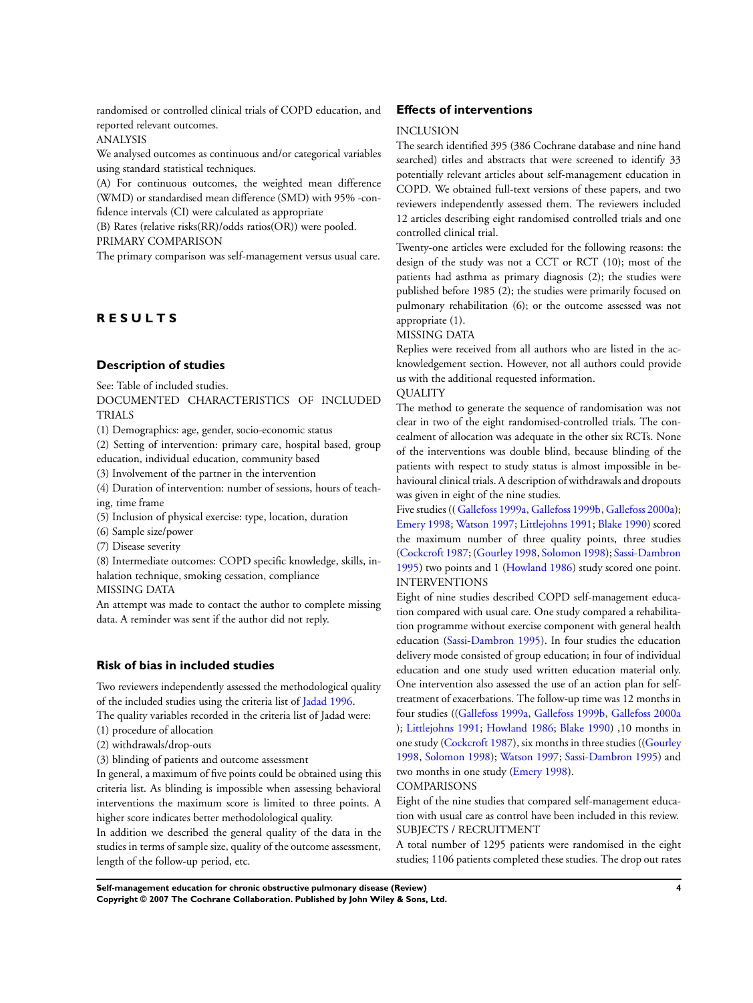randomised or controlled clinical trials of COPD education, and reported relevant outcomes.

### ANALYSIS

We analysed outcomes as continuous and/or categorical variables using standard statistical techniques.

(A) For continuous outcomes, the weighted mean difference (WMD) or standardised mean difference (SMD) with 95% -confidence intervals (CI) were calculated as appropriate

(B) Rates (relative risks(RR)/odds ratios(OR)) were pooled. PRIMARY COMPARISON

The primary comparison was self-management versus usual care.

## **R E S U L T S**

## **Description of studies**

See: Table of included studies.

DOCUMENTED CHARACTERISTICS OF INCLUDED TRIALS

(1) Demographics: age, gender, socio-economic status

(2) Setting of intervention: primary care, hospital based, group education, individual education, community based

(3) Involvement of the partner in the intervention

(4) Duration of intervention: number of sessions, hours of teaching, time frame

(5) Inclusion of physical exercise: type, location, duration

(6) Sample size/power

(7) Disease severity

(8) Intermediate outcomes: COPD specific knowledge, skills, inhalation technique, smoking cessation, compliance

MISSING DATA

An attempt was made to contact the author to complete missing data. A reminder was sent if the author did not reply.

### **Risk of bias in included studies**

Two reviewers independently assessed the methodological quality of the included studies using the criteria list of [Jadad 1996.](#page-9-0)

The quality variables recorded in the criteria list of Jadad were: (1) procedure of allocation

- 
- (2) withdrawals/drop-outs

(3) blinding of patients and outcome assessment

In general, a maximum of five points could be obtained using this criteria list. As blinding is impossible when assessing behavioral interventions the maximum score is limited to three points. A higher score indicates better methodolological quality.

In addition we described the general quality of the data in the studies in terms of sample size, quality of the outcome assessment, length of the follow-up period, etc.

### **Effects of interventions**

#### **INCLUSION**

The search identified 395 (386 Cochrane database and nine hand searched) titles and abstracts that were screened to identify 33 potentially relevant articles about self-management education in COPD. We obtained full-text versions of these papers, and two reviewers independently assessed them. The reviewers included 12 articles describing eight randomised controlled trials and one controlled clinical trial.

Twenty-one articles were excluded for the following reasons: the design of the study was not a CCT or RCT (10); most of the patients had asthma as primary diagnosis (2); the studies were published before 1985 (2); the studies were primarily focused on pulmonary rehabilitation (6); or the outcome assessed was not appropriate (1).

## MISSING DATA

Replies were received from all authors who are listed in the acknowledgement section. However, not all authors could provide us with the additional requested information.

### **QUALITY**

The method to generate the sequence of randomisation was not clear in two of the eight randomised-controlled trials. The concealment of allocation was adequate in the other six RCTs. None of the interventions was double blind, because blinding of the patients with respect to study status is almost impossible in behavioural clinical trials. A description of withdrawals and dropouts was given in eight of the nine studies.

Five studies (( [Gallefoss 1999a,](#page-9-0) [Gallefoss 1999b,](#page-9-0) [Gallefoss 2000a](#page-9-0)); [Emery 1998](#page-9-0); [Watson 1997;](#page-9-0) [Littlejohns 1991](#page-9-0); [Blake 1990](#page-9-0)) scored the maximum number of three quality points, three studies [\(Cockcroft 1987](#page-9-0); ([Gourley 1998](#page-9-0), [Solomon 1998\)](#page-9-0); [Sassi-Dambron](#page-9-0) [1995](#page-9-0)) two points and 1 ([Howland 1986](#page-9-0)) study scored one point. INTERVENTIONS

Eight of nine studies described COPD self-management education compared with usual care. One study compared a rehabilitation programme without exercise component with general health education [\(Sassi-Dambron 1995](#page-9-0)). In four studies the education delivery mode consisted of group education; in four of individual education and one study used written education material only. One intervention also assessed the use of an action plan for selftreatment of exacerbations. The follow-up time was 12 months in four studies ([\(Gallefoss 1999a](#page-9-0), [Gallefoss 1999b](#page-9-0), [Gallefoss 2000a](#page-9-0) ); [Littlejohns 1991](#page-9-0); [Howland 1986;](#page-9-0) [Blake 1990](#page-9-0)) ,10 months in one study ([Cockcroft 1987](#page-9-0)), six months in three studies (([Gourley](#page-9-0) [1998](#page-9-0), [Solomon 1998\)](#page-9-0); [Watson 1997;](#page-9-0) [Sassi-Dambron 1995\)](#page-9-0) and two months in one study [\(Emery 1998\)](#page-9-0).

COMPARISONS

Eight of the nine studies that compared self-management education with usual care as control have been included in this review. SUBJECTS / RECRUITMENT

A total number of 1295 patients were randomised in the eight studies; 1106 patients completed these studies. The drop out rates

**Self-management education for chronic obstructive pulmonary disease (Review) 4 Copyright © 2007 The Cochrane Collaboration. Published by John Wiley & Sons, Ltd.**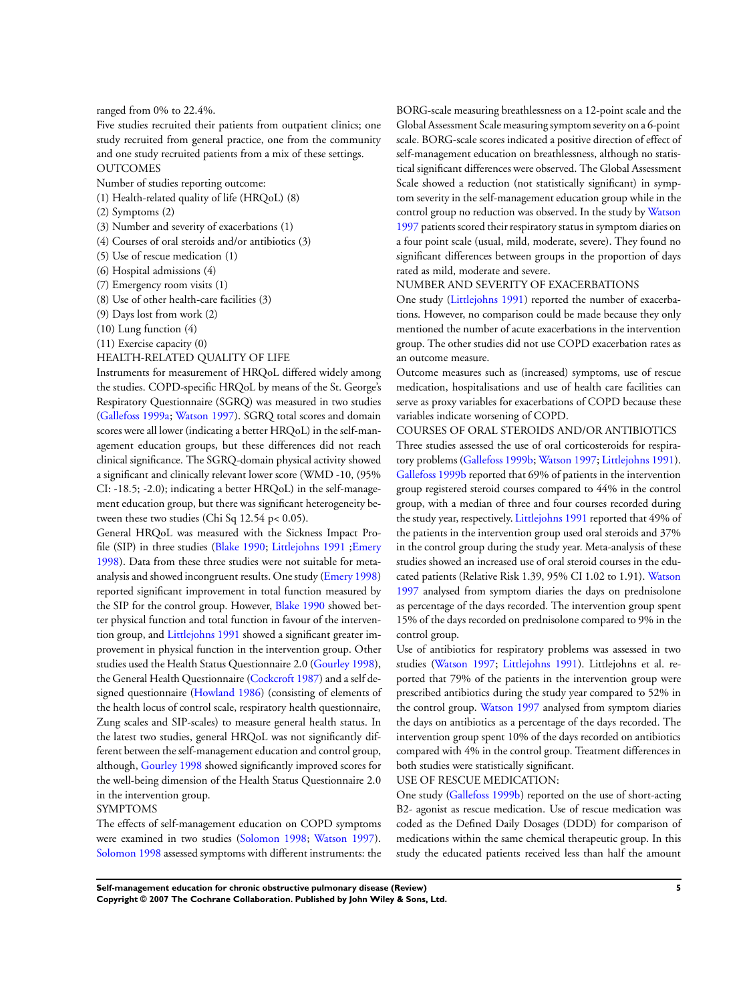## ranged from 0% to 22.4%.

Five studies recruited their patients from outpatient clinics; one study recruited from general practice, one from the community and one study recruited patients from a mix of these settings. **OUTCOMES** 

Number of studies reporting outcome:

- (1) Health-related quality of life (HRQoL) (8)
- (2) Symptoms (2)
- (3) Number and severity of exacerbations (1)
- (4) Courses of oral steroids and/or antibiotics (3)
- (5) Use of rescue medication (1)
- (6) Hospital admissions (4)
- (7) Emergency room visits (1)
- (8) Use of other health-care facilities (3)
- (9) Days lost from work (2)
- (10) Lung function (4)
- (11) Exercise capacity (0)
- HEALTH-RELATED QUALITY OF LIFE

Instruments for measurement of HRQoL differed widely among the studies. COPD-specific HRQoL by means of the St. George's Respiratory Questionnaire (SGRQ) was measured in two studies [\(Gallefoss 1999a](#page-9-0); [Watson 1997](#page-9-0)). SGRQ total scores and domain scores were all lower (indicating a better HRQoL) in the self-management education groups, but these differences did not reach clinical significance. The SGRQ-domain physical activity showed a significant and clinically relevant lower score (WMD -10, (95% CI: -18.5; -2.0); indicating a better HRQoL) in the self-management education group, but there was significant heterogeneity between these two studies (Chi Sq 12.54 p< 0.05).

General HRQoL was measured with the Sickness Impact Profile (SIP) in three studies ([Blake 1990;](#page-9-0) [Littlejohns 1991](#page-9-0) [;Emery](#page-9-0) [1998](#page-9-0)). Data from these three studies were not suitable for metaanalysis and showed incongruent results. One study ([Emery 1998](#page-9-0)) reported significant improvement in total function measured by the SIP for the control group. However, [Blake 1990](#page-9-0) showed better physical function and total function in favour of the intervention group, and [Littlejohns 1991](#page-9-0) showed a significant greater improvement in physical function in the intervention group. Other studies used the Health Status Questionnaire 2.0 ([Gourley 1998](#page-9-0)), the General Health Questionnaire ([Cockcroft 1987](#page-9-0)) and a self designed questionnaire [\(Howland 1986](#page-9-0)) (consisting of elements of the health locus of control scale, respiratory health questionnaire, Zung scales and SIP-scales) to measure general health status. In the latest two studies, general HRQoL was not significantly different between the self-management education and control group, although, [Gourley 1998](#page-9-0) showed significantly improved scores for the well-being dimension of the Health Status Questionnaire 2.0 in the intervention group.

### SYMPTOMS

The effects of self-management education on COPD symptoms were examined in two studies ([Solomon 1998;](#page-9-0) [Watson 1997](#page-9-0)). [Solomon 1998](#page-9-0) assessed symptoms with different instruments: the

BORG-scale measuring breathlessness on a 12-point scale and the Global Assessment Scale measuring symptom severity on a 6-point scale. BORG-scale scores indicated a positive direction of effect of self-management education on breathlessness, although no statistical significant differences were observed. The Global Assessment Scale showed a reduction (not statistically significant) in symptom severity in the self-management education group while in the control group no reduction was observed. In the study by [Watson](#page-9-0) [1997](#page-9-0) patients scored their respiratory status in symptom diaries on a four point scale (usual, mild, moderate, severe). They found no significant differences between groups in the proportion of days rated as mild, moderate and severe.

### NUMBER AND SEVERITY OF EXACERBATIONS

One study ([Littlejohns 1991](#page-9-0)) reported the number of exacerbations. However, no comparison could be made because they only mentioned the number of acute exacerbations in the intervention group. The other studies did not use COPD exacerbation rates as an outcome measure.

Outcome measures such as (increased) symptoms, use of rescue medication, hospitalisations and use of health care facilities can serve as proxy variables for exacerbations of COPD because these variables indicate worsening of COPD.

COURSES OF ORAL STEROIDS AND/OR ANTIBIOTICS Three studies assessed the use of oral corticosteroids for respiratory problems [\(Gallefoss 1999b;](#page-9-0) [Watson 1997;](#page-9-0) [Littlejohns 1991](#page-9-0)). [Gallefoss 1999b](#page-9-0) reported that 69% of patients in the intervention group registered steroid courses compared to 44% in the control group, with a median of three and four courses recorded during the study year, respectively. [Littlejohns 1991](#page-9-0) reported that 49% of the patients in the intervention group used oral steroids and 37% in the control group during the study year. Meta-analysis of these studies showed an increased use of oral steroid courses in the educated patients (Relative Risk 1.39, 95% CI 1.02 to 1.91). [Watson](#page-9-0) [1997](#page-9-0) analysed from symptom diaries the days on prednisolone as percentage of the days recorded. The intervention group spent 15% of the days recorded on prednisolone compared to 9% in the control group.

Use of antibiotics for respiratory problems was assessed in two studies [\(Watson 1997](#page-9-0); [Littlejohns 1991\)](#page-9-0). Littlejohns et al. reported that 79% of the patients in the intervention group were prescribed antibiotics during the study year compared to 52% in the control group. [Watson 1997](#page-9-0) analysed from symptom diaries the days on antibiotics as a percentage of the days recorded. The intervention group spent 10% of the days recorded on antibiotics compared with 4% in the control group. Treatment differences in both studies were statistically significant.

## USE OF RESCUE MEDICATION:

One study [\(Gallefoss 1999b](#page-9-0)) reported on the use of short-acting B2- agonist as rescue medication. Use of rescue medication was coded as the Defined Daily Dosages (DDD) for comparison of medications within the same chemical therapeutic group. In this study the educated patients received less than half the amount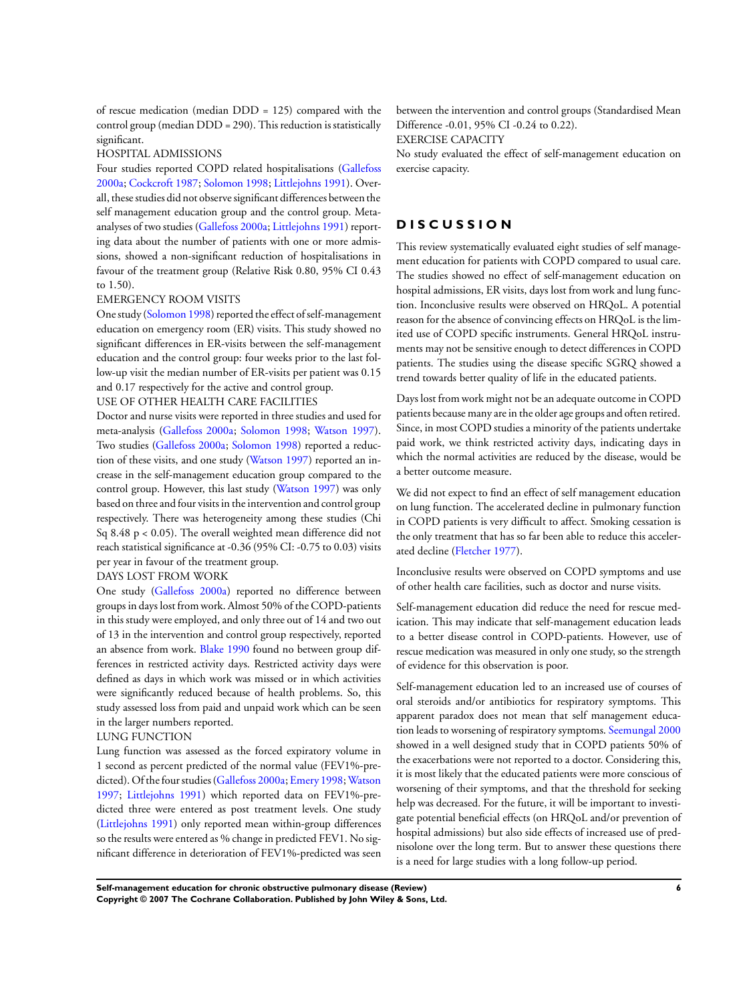of rescue medication (median DDD = 125) compared with the control group (median DDD = 290). This reduction is statistically significant.

### HOSPITAL ADMISSIONS

Four studies reported COPD related hospitalisations [\(Gallefoss](#page-9-0) [2000a;](#page-9-0) [Cockcroft 1987;](#page-9-0) [Solomon 1998](#page-9-0); [Littlejohns 1991\)](#page-9-0). Overall, these studies did not observe significant differences between the self management education group and the control group. Metaanalyses of two studies ([Gallefoss 2000a](#page-9-0); [Littlejohns 1991\)](#page-9-0) reporting data about the number of patients with one or more admissions, showed a non-significant reduction of hospitalisations in favour of the treatment group (Relative Risk 0.80, 95% CI 0.43 to 1.50).

#### EMERGENCY ROOM VISITS

One study ([Solomon 1998\)](#page-9-0) reported the effect of self-management education on emergency room (ER) visits. This study showed no significant differences in ER-visits between the self-management education and the control group: four weeks prior to the last follow-up visit the median number of ER-visits per patient was 0.15 and 0.17 respectively for the active and control group.

### USE OF OTHER HEALTH CARE FACILITIES

Doctor and nurse visits were reported in three studies and used for meta-analysis ([Gallefoss 2000a;](#page-9-0) [Solomon 1998](#page-9-0); [Watson 1997](#page-9-0)). Two studies [\(Gallefoss 2000a](#page-9-0); [Solomon 1998](#page-9-0)) reported a reduction of these visits, and one study [\(Watson 1997\)](#page-9-0) reported an increase in the self-management education group compared to the control group. However, this last study [\(Watson 1997](#page-9-0)) was only based on three and four visits in the intervention and control group respectively. There was heterogeneity among these studies (Chi Sq 8.48 p < 0.05). The overall weighted mean difference did not reach statistical significance at -0.36 (95% CI: -0.75 to 0.03) visits per year in favour of the treatment group.

## DAYS LOST FROM WORK

One study [\(Gallefoss 2000a](#page-9-0)) reported no difference between groups in days lost from work. Almost 50% of the COPD-patients in this study were employed, and only three out of 14 and two out of 13 in the intervention and control group respectively, reported an absence from work. [Blake 1990](#page-9-0) found no between group differences in restricted activity days. Restricted activity days were defined as days in which work was missed or in which activities were significantly reduced because of health problems. So, this study assessed loss from paid and unpaid work which can be seen in the larger numbers reported.

#### LUNG FUNCTION

Lung function was assessed as the forced expiratory volume in 1 second as percent predicted of the normal value (FEV1%-pre-dicted). Of the four studies [\(Gallefoss 2000a](#page-9-0); [Emery 1998](#page-9-0); [Watson](#page-9-0) [1997](#page-9-0); [Littlejohns 1991\)](#page-9-0) which reported data on FEV1%-predicted three were entered as post treatment levels. One study [\(Littlejohns 1991](#page-9-0)) only reported mean within-group differences so the results were entered as % change in predicted FEV1. No significant difference in deterioration of FEV1%-predicted was seen between the intervention and control groups (Standardised Mean Difference -0.01, 95% CI -0.24 to 0.22).

EXERCISE CAPACITY

No study evaluated the effect of self-management education on exercise capacity.

## **D I S C U S S I O N**

This review systematically evaluated eight studies of self management education for patients with COPD compared to usual care. The studies showed no effect of self-management education on hospital admissions, ER visits, days lost from work and lung function. Inconclusive results were observed on HRQoL. A potential reason for the absence of convincing effects on HRQoL is the limited use of COPD specific instruments. General HRQoL instruments may not be sensitive enough to detect differences in COPD patients. The studies using the disease specific SGRQ showed a trend towards better quality of life in the educated patients.

Days lost from work might not be an adequate outcome in COPD patients because many are in the older age groups and often retired. Since, in most COPD studies a minority of the patients undertake paid work, we think restricted activity days, indicating days in which the normal activities are reduced by the disease, would be a better outcome measure.

We did not expect to find an effect of self management education on lung function. The accelerated decline in pulmonary function in COPD patients is very difficult to affect. Smoking cessation is the only treatment that has so far been able to reduce this accelerated decline ([Fletcher 1977](#page-9-0)).

Inconclusive results were observed on COPD symptoms and use of other health care facilities, such as doctor and nurse visits.

Self-management education did reduce the need for rescue medication. This may indicate that self-management education leads to a better disease control in COPD-patients. However, use of rescue medication was measured in only one study, so the strength of evidence for this observation is poor.

Self-management education led to an increased use of courses of oral steroids and/or antibiotics for respiratory symptoms. This apparent paradox does not mean that self management education leads to worsening of respiratory symptoms. [Seemungal 2000](#page-9-0) showed in a well designed study that in COPD patients 50% of the exacerbations were not reported to a doctor. Considering this, it is most likely that the educated patients were more conscious of worsening of their symptoms, and that the threshold for seeking help was decreased. For the future, it will be important to investigate potential beneficial effects (on HRQoL and/or prevention of hospital admissions) but also side effects of increased use of prednisolone over the long term. But to answer these questions there is a need for large studies with a long follow-up period.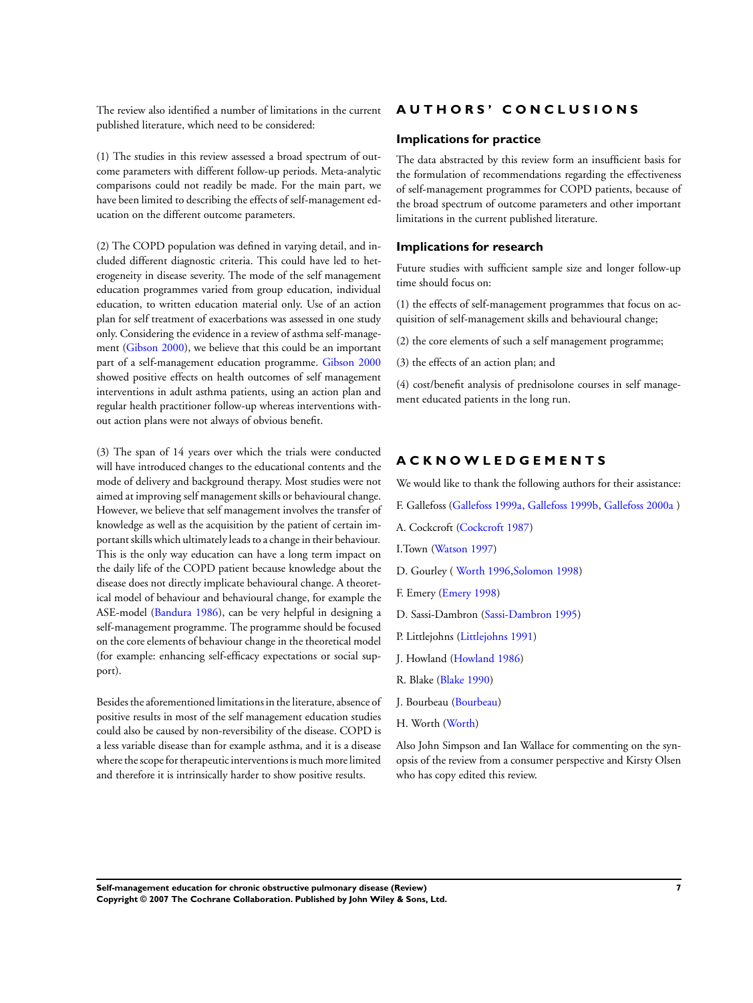The review also identified a number of limitations in the current published literature, which need to be considered:

(1) The studies in this review assessed a broad spectrum of outcome parameters with different follow-up periods. Meta-analytic comparisons could not readily be made. For the main part, we have been limited to describing the effects of self-management education on the different outcome parameters.

(2) The COPD population was defined in varying detail, and included different diagnostic criteria. This could have led to heterogeneity in disease severity. The mode of the self management education programmes varied from group education, individual education, to written education material only. Use of an action plan for self treatment of exacerbations was assessed in one study only. Considering the evidence in a review of asthma self-management ([Gibson 2000\)](#page-9-0), we believe that this could be an important part of a self-management education programme. [Gibson 2000](#page-9-0) showed positive effects on health outcomes of self management interventions in adult asthma patients, using an action plan and regular health practitioner follow-up whereas interventions without action plans were not always of obvious benefit.

(3) The span of 14 years over which the trials were conducted will have introduced changes to the educational contents and the mode of delivery and background therapy. Most studies were not aimed at improving self management skills or behavioural change. However, we believe that self management involves the transfer of knowledge as well as the acquisition by the patient of certain important skills which ultimately leads to a change in their behaviour. This is the only way education can have a long term impact on the daily life of the COPD patient because knowledge about the disease does not directly implicate behavioural change. A theoretical model of behaviour and behavioural change, for example the ASE-model [\(Bandura 1986\)](#page-9-0), can be very helpful in designing a self-management programme. The programme should be focused on the core elements of behaviour change in the theoretical model (for example: enhancing self-efficacy expectations or social support).

Besides the aforementioned limitations in the literature, absence of positive results in most of the self management education studies could also be caused by non-reversibility of the disease. COPD is a less variable disease than for example asthma, and it is a disease where the scope for therapeutic interventions is much more limited and therefore it is intrinsically harder to show positive results.

## **A U T H O R S ' C O N C L U S I O N S**

## **Implications for practice**

The data abstracted by this review form an insufficient basis for the formulation of recommendations regarding the effectiveness of self-management programmes for COPD patients, because of the broad spectrum of outcome parameters and other important limitations in the current published literature.

#### **Implications for research**

Future studies with sufficient sample size and longer follow-up time should focus on:

(1) the effects of self-management programmes that focus on acquisition of self-management skills and behavioural change;

(2) the core elements of such a self management programme;

(3) the effects of an action plan; and

(4) cost/benefit analysis of prednisolone courses in self management educated patients in the long run.

## **A C K N O W L E D G E M E N T S**

We would like to thank the following authors for their assistance:

- F. Gallefoss [\(Gallefoss 1999a](#page-9-0), [Gallefoss 1999b,](#page-9-0) [Gallefoss 2000a](#page-9-0) )
- A. Cockcroft [\(Cockcroft 1987](#page-9-0))
- I.Town [\(Watson 1997\)](#page-9-0)
- D. Gourley ( [Worth 1996](#page-9-0),[Solomon 1998](#page-9-0))
- F. Emery [\(Emery 1998\)](#page-9-0)
- D. Sassi-Dambron [\(Sassi-Dambron 1995](#page-9-0))
- P. Littlejohns ([Littlejohns 1991](#page-9-0))
- J. Howland [\(Howland 1986](#page-9-0))
- R. Blake ([Blake 1990](#page-9-0))
- J. Bourbeau ([Bourbeau](#page-9-0))
- H. Worth ([Worth\)](#page-9-0)

Also John Simpson and Ian Wallace for commenting on the synopsis of the review from a consumer perspective and Kirsty Olsen who has copy edited this review.

**Self-management education for chronic obstructive pulmonary disease (Review) 7 Copyright © 2007 The Cochrane Collaboration. Published by John Wiley & Sons, Ltd.**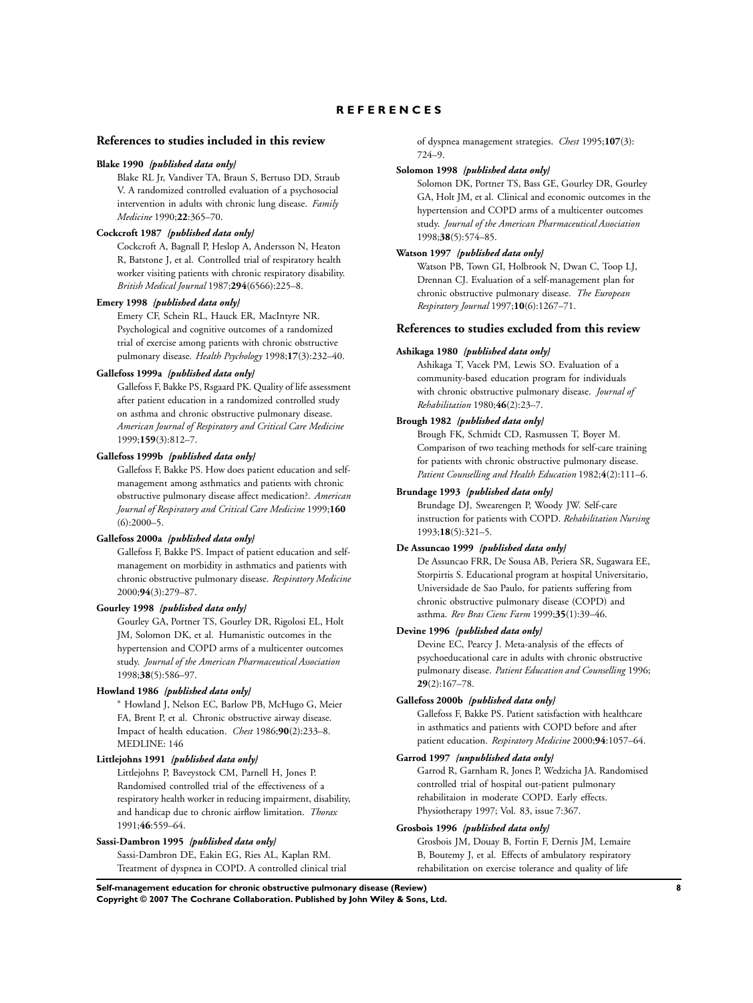## **R E F E R E N C E S**

### <span id="page-9-0"></span>**References to studies included in this review**

#### **Blake 1990** *{published data only}*

Blake RL Jr, Vandiver TA, Braun S, Bertuso DD, Straub V. A randomized controlled evaluation of a psychosocial intervention in adults with chronic lung disease. *Family Medicine* 1990;**22**:365–70.

### **Cockcroft 1987** *{published data only}*

Cockcroft A, Bagnall P, Heslop A, Andersson N, Heaton R, Batstone J, et al. Controlled trial of respiratory health worker visiting patients with chronic respiratory disability. *British Medical Journal* 1987;**294**(6566):225–8.

#### **Emery 1998** *{published data only}*

Emery CF, Schein RL, Hauck ER, MacIntyre NR. Psychological and cognitive outcomes of a randomized trial of exercise among patients with chronic obstructive pulmonary disease. *Health Psychology* 1998;**17**(3):232–40.

#### **Gallefoss 1999a** *{published data only}*

Gallefoss F, Bakke PS, Rsgaard PK. Quality of life assessment after patient education in a randomized controlled study on asthma and chronic obstructive pulmonary disease. *American Journal of Respiratory and Critical Care Medicine* 1999;**159**(3):812–7.

## **Gallefoss 1999b** *{published data only}*

Gallefoss F, Bakke PS. How does patient education and selfmanagement among asthmatics and patients with chronic obstructive pulmonary disease affect medication?. *American Journal of Respiratory and Critical Care Medicine* 1999;**160** (6):2000–5.

#### **Gallefoss 2000a** *{published data only}*

Gallefoss F, Bakke PS. Impact of patient education and selfmanagement on morbidity in asthmatics and patients with chronic obstructive pulmonary disease. *Respiratory Medicine* 2000;**94**(3):279–87.

#### **Gourley 1998** *{published data only}*

Gourley GA, Portner TS, Gourley DR, Rigolosi EL, Holt JM, Solomon DK, et al. Humanistic outcomes in the hypertension and COPD arms of a multicenter outcomes study. *Journal of the American Pharmaceutical Association* 1998;**38**(5):586–97.

### **Howland 1986** *{published data only}*

<sup>∗</sup> Howland J, Nelson EC, Barlow PB, McHugo G, Meier FA, Brent P, et al. Chronic obstructive airway disease. Impact of health education. *Chest* 1986;**90**(2):233–8. MEDLINE: 146

#### **Littlejohns 1991** *{published data only}*

Littlejohns P, Baveystock CM, Parnell H, Jones P. Randomised controlled trial of the effectiveness of a respiratory health worker in reducing impairment, disability, and handicap due to chronic airflow limitation. *Thorax* 1991;**46**:559–64.

#### **Sassi-Dambron 1995** *{published data only}*

Sassi-Dambron DE, Eakin EG, Ries AL, Kaplan RM. Treatment of dyspnea in COPD. A controlled clinical trial of dyspnea management strategies. *Chest* 1995;**107**(3): 724–9.

#### **Solomon 1998** *{published data only}*

Solomon DK, Portner TS, Bass GE, Gourley DR, Gourley GA, Holt JM, et al. Clinical and economic outcomes in the hypertension and COPD arms of a multicenter outcomes study. *Journal of the American Pharmaceutical Association* 1998;**38**(5):574–85.

### **Watson 1997** *{published data only}*

Watson PB, Town GI, Holbrook N, Dwan C, Toop LJ, Drennan CJ. Evaluation of a self-management plan for chronic obstructive pulmonary disease. *The European Respiratory Journal* 1997;**10**(6):1267–71.

### **References to studies excluded from this review**

#### **Ashikaga 1980** *{published data only}*

Ashikaga T, Vacek PM, Lewis SO. Evaluation of a community-based education program for individuals with chronic obstructive pulmonary disease. *Journal of Rehabilitation* 1980;**46**(2):23–7.

### **Brough 1982** *{published data only}*

Brough FK, Schmidt CD, Rasmussen T, Boyer M. Comparison of two teaching methods for self-care training for patients with chronic obstructive pulmonary disease. *Patient Counselling and Health Education* 1982;**4**(2):111–6.

### **Brundage 1993** *{published data only}*

Brundage DJ, Swearengen P, Woody JW. Self-care instruction for patients with COPD. *Rehabilitation Nursing* 1993;**18**(5):321–5.

### **De Assuncao 1999** *{published data only}*

De Assuncao FRR, De Sousa AB, Periera SR, Sugawara EE, Storpirtis S. Educational program at hospital Universitario, Universidade de Sao Paulo, for patients suffering from chronic obstructive pulmonary disease (COPD) and asthma. *Rev Bras Cienc Farm* 1999;**35**(1):39–46.

#### **Devine 1996** *{published data only}*

Devine EC, Pearcy J. Meta-analysis of the effects of psychoeducational care in adults with chronic obstructive pulmonary disease. *Patient Education and Counselling* 1996; **29**(2):167–78.

### **Gallefoss 2000b** *{published data only}*

Gallefoss F, Bakke PS. Patient satisfaction with healthcare in asthmatics and patients with COPD before and after patient education. *Respiratory Medicine* 2000;**94**:1057–64.

### **Garrod 1997** *{unpublished data only}*

Garrod R, Garnham R, Jones P, Wedzicha JA. Randomised controlled trial of hospital out-patient pulmonary rehabilitaion in moderate COPD. Early effects. Physiotherapy 1997; Vol. 83, issue 7:367.

### **Grosbois 1996** *{published data only}*

Grosbois JM, Douay B, Fortin F, Dernis JM, Lemaire B, Boutemy J, et al. Effects of ambulatory respiratory rehabilitation on exercise tolerance and quality of life

**Self-management education for chronic obstructive pulmonary disease (Review) 8 Copyright © 2007 The Cochrane Collaboration. Published by John Wiley & Sons, Ltd.**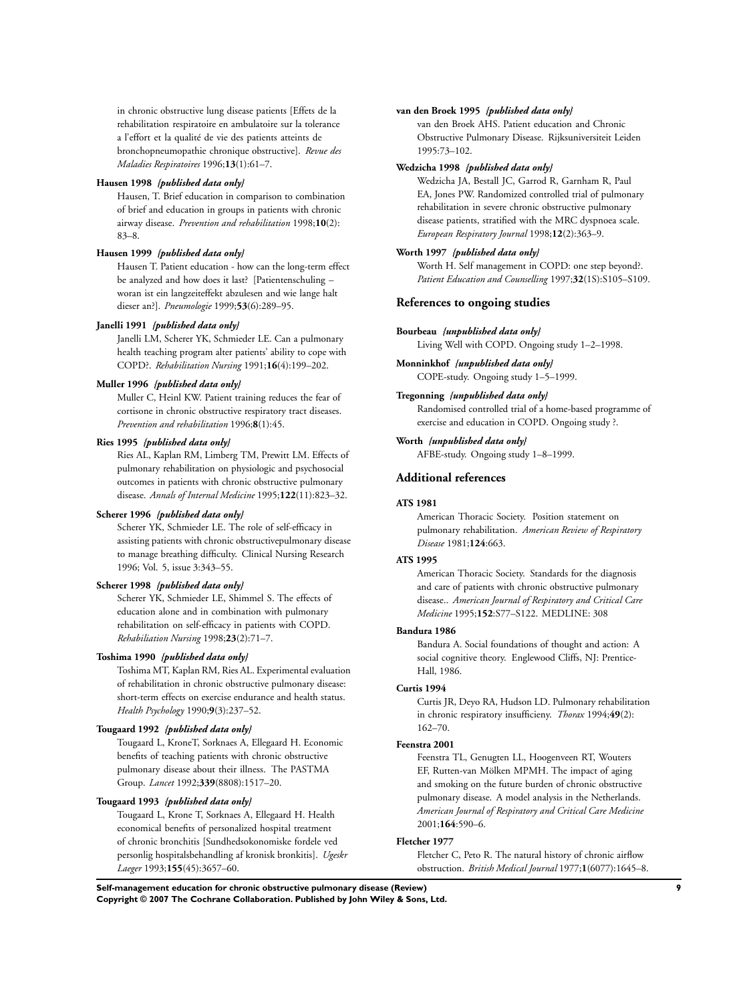in chronic obstructive lung disease patients [Effets de la rehabilitation respiratoire en ambulatoire sur la tolerance a l'effort et la qualité de vie des patients atteints de bronchopneumopathie chronique obstructive]. *Revue des Maladies Respiratoires* 1996;**13**(1):61–7.

#### **Hausen 1998** *{published data only}*

Hausen, T. Brief education in comparison to combination of brief and education in groups in patients with chronic airway disease. *Prevention and rehabilitation* 1998;**10**(2): 83–8.

#### **Hausen 1999** *{published data only}*

Hausen T. Patient education - how can the long-term effect be analyzed and how does it last? [Patientenschuling – woran ist ein langzeiteffekt abzulesen and wie lange halt dieser an?]. *Pneumologie* 1999;**53**(6):289–95.

### **Janelli 1991** *{published data only}*

Janelli LM, Scherer YK, Schmieder LE. Can a pulmonary health teaching program alter patients' ability to cope with COPD?. *Rehabilitation Nursing* 1991;**16**(4):199–202.

#### **Muller 1996** *{published data only}*

Muller C, Heinl KW. Patient training reduces the fear of cortisone in chronic obstructive respiratory tract diseases. *Prevention and rehabilitation* 1996;**8**(1):45.

#### **Ries 1995** *{published data only}*

Ries AL, Kaplan RM, Limberg TM, Prewitt LM. Effects of pulmonary rehabilitation on physiologic and psychosocial outcomes in patients with chronic obstructive pulmonary disease. *Annals of Internal Medicine* 1995;**122**(11):823–32.

### **Scherer 1996** *{published data only}*

Scherer YK, Schmieder LE. The role of self-efficacy in assisting patients with chronic obstructivepulmonary disease to manage breathing difficulty. Clinical Nursing Research 1996; Vol. 5, issue 3:343–55.

### **Scherer 1998** *{published data only}*

Scherer YK, Schmieder LE, Shimmel S. The effects of education alone and in combination with pulmonary rehabilitation on self-efficacy in patients with COPD. *Rehabiliation Nursing* 1998;**23**(2):71–7.

#### **Toshima 1990** *{published data only}*

Toshima MT, Kaplan RM, Ries AL. Experimental evaluation of rehabilitation in chronic obstructive pulmonary disease: short-term effects on exercise endurance and health status. *Health Psychology* 1990;**9**(3):237–52.

### **Tougaard 1992** *{published data only}*

Tougaard L, KroneT, Sorknaes A, Ellegaard H. Economic benefits of teaching patients with chronic obstructive pulmonary disease about their illness. The PASTMA Group. *Lancet* 1992;**339**(8808):1517–20.

## **Tougaard 1993** *{published data only}*

Tougaard L, Krone T, Sorknaes A, Ellegaard H. Health economical benefits of personalized hospital treatment of chronic bronchitis [Sundhedsokonomiske fordele ved personlig hospitalsbehandling af kronisk bronkitis]. *Ugeskr Laeger* 1993;**155**(45):3657–60.

#### **van den Broek 1995** *{published data only}*

van den Broek AHS. Patient education and Chronic Obstructive Pulmonary Disease. Rijksuniversiteit Leiden 1995:73–102.

#### **Wedzicha 1998** *{published data only}*

Wedzicha JA, Bestall JC, Garrod R, Garnham R, Paul EA, Jones PW. Randomized controlled trial of pulmonary rehabilitation in severe chronic obstructive pulmonary disease patients, stratified with the MRC dyspnoea scale. *European Respiratory Journal* 1998;**12**(2):363–9.

### **Worth 1997** *{published data only}*

Worth H. Self management in COPD: one step beyond?. *Patient Education and Counselling* 1997;**32**(1S):S105–S109.

### **References to ongoing studies**

#### **Bourbeau** *{unpublished data only}*

Living Well with COPD. Ongoing study 1–2–1998.

### **Monninkhof** *{unpublished data only}*

COPE-study. Ongoing study 1–5–1999.

## **Tregonning** *{unpublished data only}*

Randomised controlled trial of a home-based programme of exercise and education in COPD. Ongoing study ?.

### **Worth** *{unpublished data only}*

AFBE-study. Ongoing study 1–8–1999.

### **Additional references**

### **ATS 1981**

American Thoracic Society. Position statement on pulmonary rehabilitation. *American Review of Respiratory Disease* 1981;**124**:663.

#### **ATS 1995**

American Thoracic Society. Standards for the diagnosis and care of patients with chronic obstructive pulmonary disease.. *American Journal of Respiratory and Critical Care Medicine* 1995;**152**:S77–S122. MEDLINE: 308

#### **Bandura 1986**

Bandura A. Social foundations of thought and action: A social cognitive theory. Englewood Cliffs, NJ: Prentice-Hall, 1986.

#### **Curtis 1994**

Curtis JR, Deyo RA, Hudson LD. Pulmonary rehabilitation in chronic respiratory insufficieny. *Thorax* 1994;**49**(2): 162–70.

#### **Feenstra 2001**

Feenstra TL, Genugten LL, Hoogenveen RT, Wouters EF, Rutten-van Mölken MPMH. The impact of aging and smoking on the future burden of chronic obstructive pulmonary disease. A model analysis in the Netherlands. *American Journal of Respiratory and Critical Care Medicine* 2001;**164**:590–6.

#### **Fletcher 1977**

Fletcher C, Peto R. The natural history of chronic airflow obstruction. *British Medical Journal* 1977;**1**(6077):1645–8.

**Self-management education for chronic obstructive pulmonary disease (Review) 9 Copyright © 2007 The Cochrane Collaboration. Published by John Wiley & Sons, Ltd.**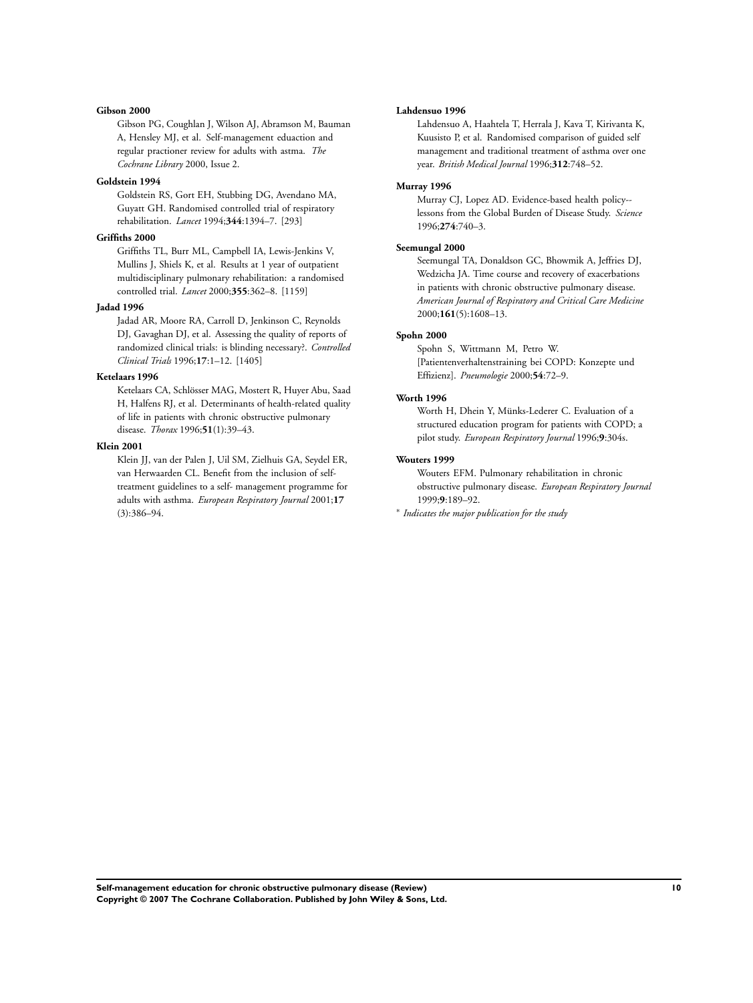#### **Gibson 2000**

Gibson PG, Coughlan J, Wilson AJ, Abramson M, Bauman A, Hensley MJ, et al. Self-management eduaction and regular practioner review for adults with astma. *The Cochrane Library* 2000, Issue 2.

#### **Goldstein 1994**

Goldstein RS, Gort EH, Stubbing DG, Avendano MA, Guyatt GH. Randomised controlled trial of respiratory rehabilitation. *Lancet* 1994;**344**:1394–7. [293]

### **Griffiths 2000**

Griffiths TL, Burr ML, Campbell IA, Lewis-Jenkins V, Mullins J, Shiels K, et al. Results at 1 year of outpatient multidisciplinary pulmonary rehabilitation: a randomised controlled trial. *Lancet* 2000;**355**:362–8. [1159]

### **Jadad 1996**

Jadad AR, Moore RA, Carroll D, Jenkinson C, Reynolds DJ, Gavaghan DJ, et al. Assessing the quality of reports of randomized clinical trials: is blinding necessary?. *Controlled Clinical Trials* 1996;**17**:1–12. [1405]

#### **Ketelaars 1996**

Ketelaars CA, Schlösser MAG, Mostert R, Huyer Abu, Saad H, Halfens RJ, et al. Determinants of health-related quality of life in patients with chronic obstructive pulmonary disease. *Thorax* 1996;**51**(1):39–43.

### **Klein 2001**

Klein JJ, van der Palen J, Uil SM, Zielhuis GA, Seydel ER, van Herwaarden CL. Benefit from the inclusion of selftreatment guidelines to a self- management programme for adults with asthma. *European Respiratory Journal* 2001;**17** (3):386–94.

#### **Lahdensuo 1996**

Lahdensuo A, Haahtela T, Herrala J, Kava T, Kirivanta K, Kuusisto P, et al. Randomised comparison of guided self management and traditional treatment of asthma over one year. *British Medical Journal* 1996;**312**:748–52.

#### **Murray 1996**

Murray CJ, Lopez AD. Evidence-based health policy- lessons from the Global Burden of Disease Study. *Science* 1996;**274**:740–3.

### **Seemungal 2000**

Seemungal TA, Donaldson GC, Bhowmik A, Jeffries DJ, Wedzicha JA. Time course and recovery of exacerbations in patients with chronic obstructive pulmonary disease. *American Journal of Respiratory and Critical Care Medicine* 2000;**161**(5):1608–13.

## **Spohn 2000**

Spohn S, Wittmann M, Petro W. [Patientenverhaltenstraining bei COPD: Konzepte und Effizienz]. *Pneumologie* 2000;**54**:72–9.

#### **Worth 1996**

Worth H, Dhein Y, Münks-Lederer C. Evaluation of a structured education program for patients with COPD; a pilot study. *European Respiratory Journal* 1996;**9**:304s.

#### **Wouters 1999**

Wouters EFM. Pulmonary rehabilitation in chronic obstructive pulmonary disease. *European Respiratory Journal* 1999;**9**:189–92.

∗ *Indicates the major publication for the study*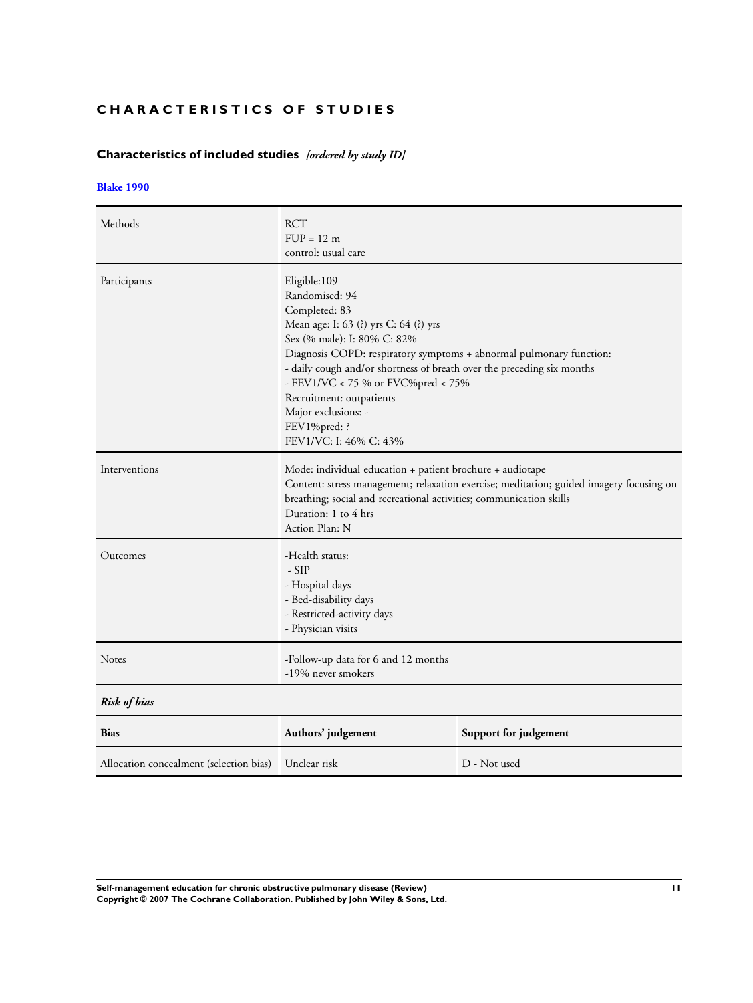## **CHARACTERISTICS OF STUDIES**

## **Characteristics of included studies** *[ordered by study ID]*

## **[Blake 1990](#page-9-0)**

| Methods                                 | <b>RCT</b><br>$FUP = 12 m$<br>control: usual care                                                                                                                                                                                                                                                                                                                                                           |                       |
|-----------------------------------------|-------------------------------------------------------------------------------------------------------------------------------------------------------------------------------------------------------------------------------------------------------------------------------------------------------------------------------------------------------------------------------------------------------------|-----------------------|
| Participants                            | Eligible:109<br>Randomised: 94<br>Completed: 83<br>Mean age: I: 63 (?) yrs C: 64 (?) yrs<br>Sex (% male): I: 80% C: 82%<br>Diagnosis COPD: respiratory symptoms + abnormal pulmonary function:<br>- daily cough and/or shortness of breath over the preceding six months<br>- FEV1/VC < 75 % or FVC%pred < 75%<br>Recruitment: outpatients<br>Major exclusions: -<br>FEV1%pred: ?<br>FEV1/VC: I: 46% C: 43% |                       |
| Interventions                           | Mode: individual education + patient brochure + audiotape<br>Content: stress management; relaxation exercise; meditation; guided imagery focusing on<br>breathing; social and recreational activities; communication skills<br>Duration: 1 to 4 hrs<br>Action Plan: N                                                                                                                                       |                       |
| Outcomes                                | -Health status:<br>$-SIP$<br>- Hospital days<br>- Bed-disability days<br>- Restricted-activity days<br>- Physician visits                                                                                                                                                                                                                                                                                   |                       |
| <b>Notes</b>                            | -Follow-up data for 6 and 12 months<br>-19% never smokers                                                                                                                                                                                                                                                                                                                                                   |                       |
| <b>Risk of bias</b>                     |                                                                                                                                                                                                                                                                                                                                                                                                             |                       |
| <b>Bias</b>                             | Authors' judgement                                                                                                                                                                                                                                                                                                                                                                                          | Support for judgement |
| Allocation concealment (selection bias) | Unclear risk                                                                                                                                                                                                                                                                                                                                                                                                | D - Not used          |

**Self-management education for chronic obstructive pulmonary disease (Review) 11 Copyright © 2007 The Cochrane Collaboration. Published by John Wiley & Sons, Ltd.**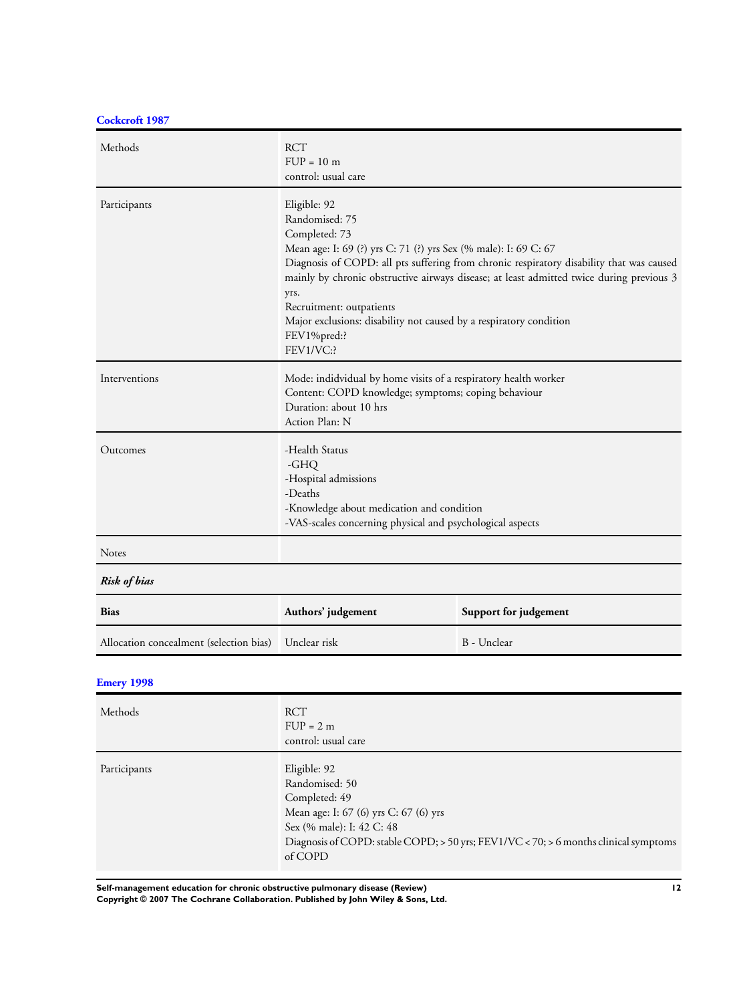**[Cockcroft 1987](#page-9-0)**

| Methods             | <b>RCT</b><br>$FUP = 10$ m<br>control: usual care                                                                                                                                                                                                                                                                                                                                                                                                |
|---------------------|--------------------------------------------------------------------------------------------------------------------------------------------------------------------------------------------------------------------------------------------------------------------------------------------------------------------------------------------------------------------------------------------------------------------------------------------------|
| Participants        | Eligible: 92<br>Randomised: 75<br>Completed: 73<br>Mean age: I: 69 (?) yrs C: 71 (?) yrs Sex (% male): I: 69 C: 67<br>Diagnosis of COPD: all pts suffering from chronic respiratory disability that was caused<br>mainly by chronic obstructive airways disease; at least admitted twice during previous 3<br>yrs.<br>Recruitment: outpatients<br>Major exclusions: disability not caused by a respiratory condition<br>FEV1%pred:?<br>FEV1/VC:? |
| Interventions       | Mode: indidvidual by home visits of a respiratory health worker<br>Content: COPD knowledge; symptoms; coping behaviour<br>Duration: about 10 hrs<br>Action Plan: N                                                                                                                                                                                                                                                                               |
| Outcomes            | -Health Status<br>-GHQ<br>-Hospital admissions<br>-Deaths<br>-Knowledge about medication and condition<br>-VAS-scales concerning physical and psychological aspects                                                                                                                                                                                                                                                                              |
| <b>Notes</b>        |                                                                                                                                                                                                                                                                                                                                                                                                                                                  |
| <b>Risk of bias</b> |                                                                                                                                                                                                                                                                                                                                                                                                                                                  |

| <b>Bias</b>                                          | Authors' judgement | Support for judgement |
|------------------------------------------------------|--------------------|-----------------------|
| Allocation concealment (selection bias) Unclear risk |                    | B - Unclear           |

## **[Emery 1998](#page-9-0)**

| Methods      | <b>RCT</b><br>$FUP = 2 m$<br>control: usual care                                                                                                                                                                             |
|--------------|------------------------------------------------------------------------------------------------------------------------------------------------------------------------------------------------------------------------------|
| Participants | Eligible: 92<br>Randomised: 50<br>Completed: 49<br>Mean age: I: 67 (6) yrs C: 67 (6) yrs<br>Sex (% male): I: 42 C: 48<br>Diagnosis of COPD: stable COPD; $>$ 50 yrs; FEV1/VC < 70; $>$ 6 months clinical symptoms<br>of COPD |

**Self-management education for chronic obstructive pulmonary disease (Review) 12**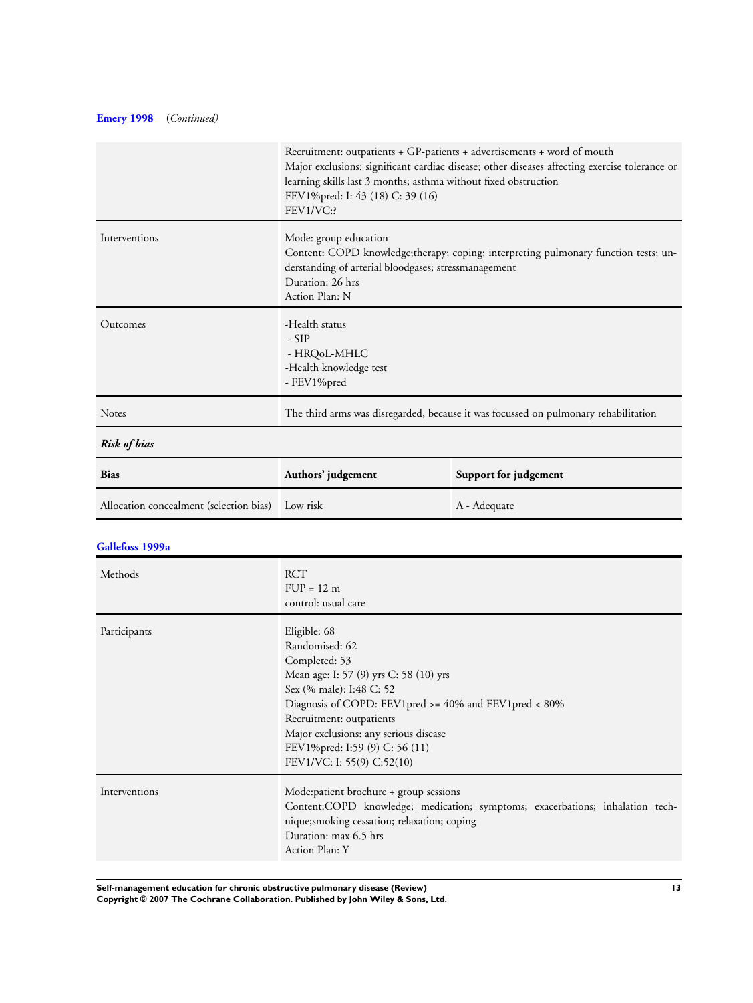## **[Emery 1998](#page-9-0)** (*Continued)*

|                                         | Recruitment: outpatients + GP-patients + advertisements + word of mouth<br>Major exclusions: significant cardiac disease; other diseases affecting exercise tolerance or<br>learning skills last 3 months; asthma without fixed obstruction<br>FEV1%pred: I: 43 (18) C: 39 (16)<br>FEV1/VC:?                        |                       |
|-----------------------------------------|---------------------------------------------------------------------------------------------------------------------------------------------------------------------------------------------------------------------------------------------------------------------------------------------------------------------|-----------------------|
| Interventions                           | Mode: group education<br>Content: COPD knowledge;therapy; coping; interpreting pulmonary function tests; un-<br>derstanding of arterial bloodgases; stressmanagement<br>Duration: 26 hrs<br>Action Plan: N                                                                                                          |                       |
| Outcomes                                | -Health status<br>$-SIP$<br>- HRQ0L-MHLC<br>-Health knowledge test<br>- FEV1%pred                                                                                                                                                                                                                                   |                       |
| Notes                                   | The third arms was disregarded, because it was focussed on pulmonary rehabilitation                                                                                                                                                                                                                                 |                       |
| <b>Risk of bias</b>                     |                                                                                                                                                                                                                                                                                                                     |                       |
| <b>Bias</b>                             | Authors' judgement                                                                                                                                                                                                                                                                                                  | Support for judgement |
| Allocation concealment (selection bias) | Low risk                                                                                                                                                                                                                                                                                                            | A - Adequate          |
| Gallefoss 1999a                         |                                                                                                                                                                                                                                                                                                                     |                       |
| Methods                                 | <b>RCT</b><br>$FUP = 12 m$<br>control: usual care                                                                                                                                                                                                                                                                   |                       |
| Participants                            | Eligible: 68<br>Randomised: 62<br>Completed: 53<br>Mean age: I: 57 (9) yrs C: 58 (10) yrs<br>Sex (% male): I:48 C: 52<br>Diagnosis of COPD: FEV1pred >= 40% and FEV1pred < 80%<br>Recruitment: outpatients<br>Major exclusions: any serious disease<br>FEV1%pred: I:59 (9) C: 56 (11)<br>FEV1/VC: I: 55(9) C:52(10) |                       |
| Interventions                           | Mode:patient brochure + group sessions<br>Content:COPD knowledge; medication; symptoms; exacerbations; inhalation tech-<br>nique;smoking cessation; relaxation; coping<br>Duration: max 6.5 hrs<br>Action Plan: Y                                                                                                   |                       |

**Self-management education for chronic obstructive pulmonary disease (Review) 13**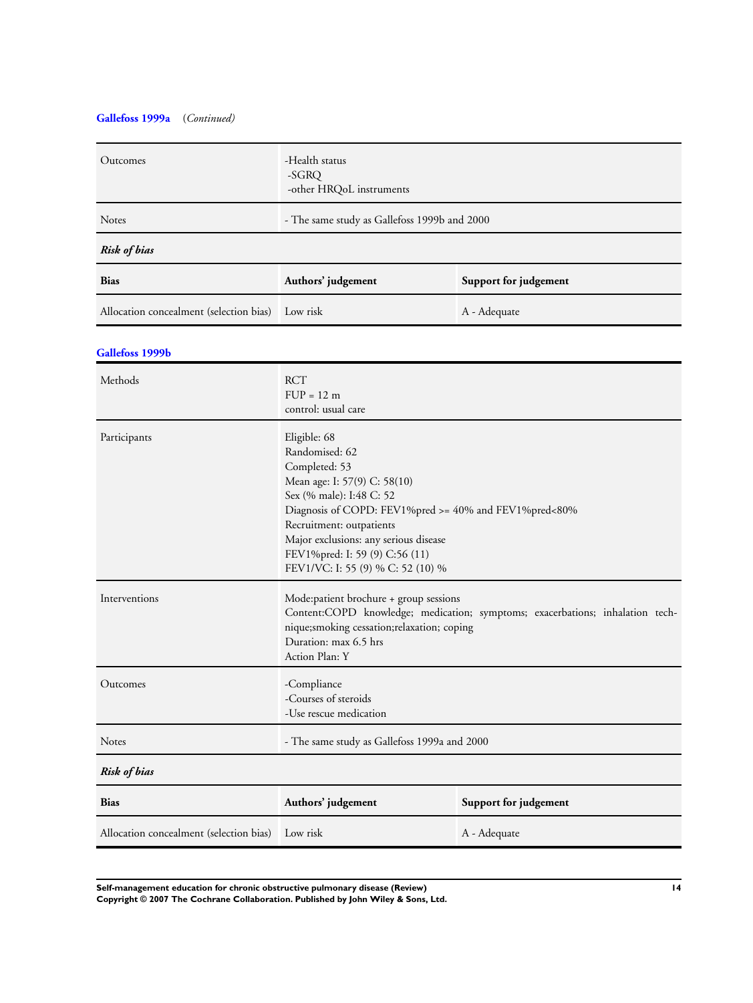## **[Gallefoss 1999a](#page-9-0)** (*Continued)*

| Outcomes                                | -Health status<br>-SGRQ<br>-other HRQoL instruments                                                                                                                                                                                                                                                              |                       |
|-----------------------------------------|------------------------------------------------------------------------------------------------------------------------------------------------------------------------------------------------------------------------------------------------------------------------------------------------------------------|-----------------------|
| Notes                                   | - The same study as Gallefoss 1999b and 2000                                                                                                                                                                                                                                                                     |                       |
| <b>Risk of bias</b>                     |                                                                                                                                                                                                                                                                                                                  |                       |
| <b>Bias</b>                             | Authors' judgement                                                                                                                                                                                                                                                                                               | Support for judgement |
| Allocation concealment (selection bias) | Low risk                                                                                                                                                                                                                                                                                                         | A - Adequate          |
| Gallefoss 1999b                         |                                                                                                                                                                                                                                                                                                                  |                       |
| Methods                                 | <b>RCT</b><br>$FUP = 12 m$<br>control: usual care                                                                                                                                                                                                                                                                |                       |
| Participants                            | Eligible: 68<br>Randomised: 62<br>Completed: 53<br>Mean age: I: 57(9) C: 58(10)<br>Sex (% male): I:48 C: 52<br>Diagnosis of COPD: FEV1%pred >= 40% and FEV1%pred<80%<br>Recruitment: outpatients<br>Major exclusions: any serious disease<br>FEV1%pred: I: 59 (9) C:56 (11)<br>FEV1/VC: I: 55 (9) % C: 52 (10) % |                       |
| Interventions                           | Mode:patient brochure + group sessions<br>Content:COPD knowledge; medication; symptoms; exacerbations; inhalation tech-<br>nique;smoking cessation;relaxation; coping<br>Duration: max 6.5 hrs<br>Action Plan: Y                                                                                                 |                       |
| Outcomes                                | -Compliance<br>-Courses of steroids<br>-Use rescue medication                                                                                                                                                                                                                                                    |                       |
| Notes                                   | - The same study as Gallefoss 1999a and 2000                                                                                                                                                                                                                                                                     |                       |
| <b>Risk of bias</b>                     |                                                                                                                                                                                                                                                                                                                  |                       |
| Bias                                    | Support for judgement<br>Authors' judgement                                                                                                                                                                                                                                                                      |                       |
| Allocation concealment (selection bias) | Low risk                                                                                                                                                                                                                                                                                                         | A - Adequate          |

**Self-management education for chronic obstructive pulmonary disease (Review) 14 Copyright © 2007 The Cochrane Collaboration. Published by John Wiley & Sons, Ltd.**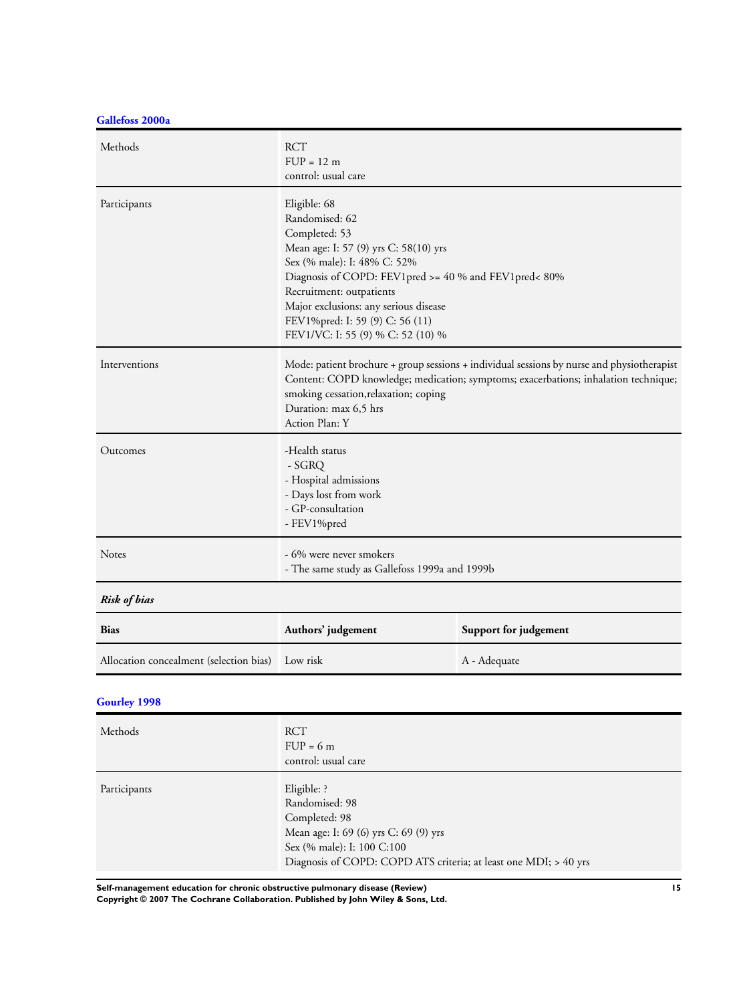**[Gallefoss 2000a](#page-9-0)**

| Methods             | <b>RCT</b><br>$FUP = 12 m$<br>control: usual care                                                                                                                                                                                                                                                                             |
|---------------------|-------------------------------------------------------------------------------------------------------------------------------------------------------------------------------------------------------------------------------------------------------------------------------------------------------------------------------|
| Participants        | Eligible: 68<br>Randomised: 62<br>Completed: 53<br>Mean age: I: 57 (9) yrs C: 58(10) yrs<br>Sex (% male): I: 48% C: 52%<br>Diagnosis of COPD: FEV1pred >= 40 % and FEV1pred< 80%<br>Recruitment: outpatients<br>Major exclusions: any serious disease<br>FEV1%pred: I: 59 (9) C: 56 (11)<br>FEV1/VC: I: 55 (9) % C: 52 (10) % |
| Interventions       | Mode: patient brochure + group sessions + individual sessions by nurse and physiotherapist<br>Content: COPD knowledge; medication; symptoms; exacerbations; inhalation technique;<br>smoking cessation, relaxation; coping<br>Duration: max 6,5 hrs<br>Action Plan: Y                                                         |
| Outcomes            | -Health status<br>- SGRQ<br>- Hospital admissions<br>- Days lost from work<br>- GP-consultation<br>- FEV1%pred                                                                                                                                                                                                                |
| Notes               | - 6% were never smokers<br>- The same study as Gallefoss 1999a and 1999b                                                                                                                                                                                                                                                      |
| <b>Risk of bias</b> |                                                                                                                                                                                                                                                                                                                               |

| <b>Bias</b>                                      | Authors' judgement | Support for judgement |
|--------------------------------------------------|--------------------|-----------------------|
| Allocation concealment (selection bias) Low risk |                    | A - Adequate          |

## **[Gourley 1998](#page-9-0)**

| Methods      | <b>RCT</b><br>$FUP = 6m$<br>control: usual care                                                                                                                                           |
|--------------|-------------------------------------------------------------------------------------------------------------------------------------------------------------------------------------------|
| Participants | Eligible: ?<br>Randomised: 98<br>Completed: 98<br>Mean age: I: 69 (6) yrs C: 69 (9) yrs<br>Sex (% male): I: 100 C:100<br>Diagnosis of COPD: COPD ATS criteria; at least one MDI; > 40 yrs |

**Self-management education for chronic obstructive pulmonary disease (Review) 15**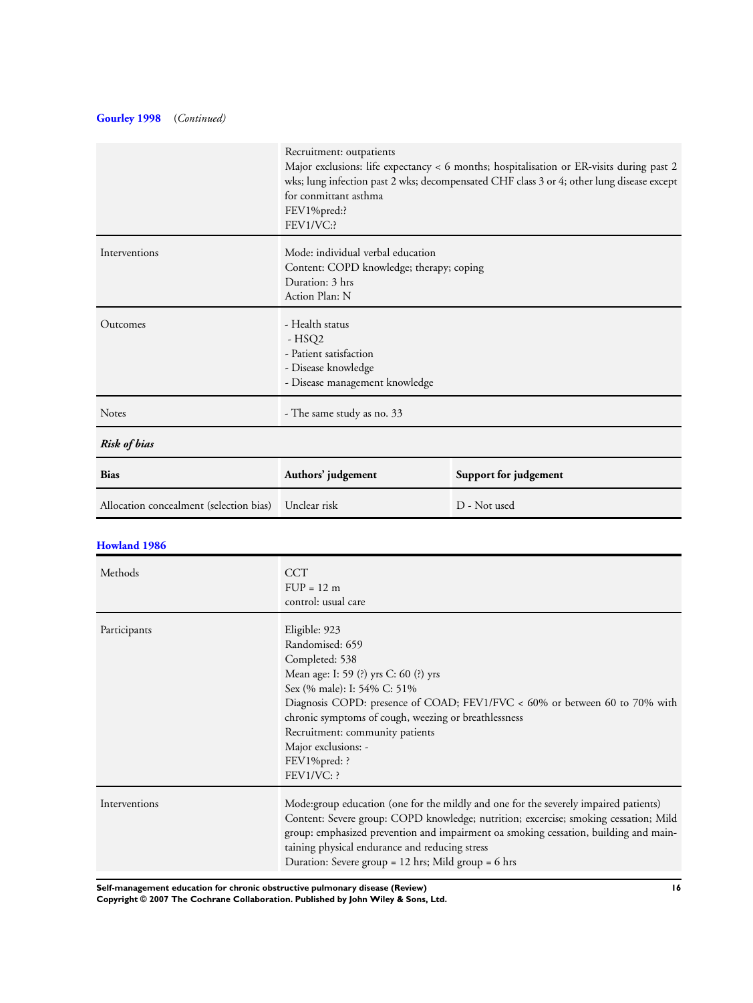## **[Gourley 1998](#page-9-0)** (*Continued)*

|                                         | Recruitment: outpatients<br>Major exclusions: life expectancy < 6 months; hospitalisation or ER-visits during past 2<br>wks; lung infection past 2 wks; decompensated CHF class 3 or 4; other lung disease except<br>for conmittant asthma<br>FEV1%pred:?<br>FEV1/VC:?                                                                                                        |                       |
|-----------------------------------------|-------------------------------------------------------------------------------------------------------------------------------------------------------------------------------------------------------------------------------------------------------------------------------------------------------------------------------------------------------------------------------|-----------------------|
| Interventions                           | Mode: individual verbal education<br>Content: COPD knowledge; therapy; coping<br>Duration: 3 hrs<br>Action Plan: N                                                                                                                                                                                                                                                            |                       |
| Outcomes                                | - Health status<br>$-HSQ2$<br>- Patient satisfaction<br>- Disease knowledge<br>- Disease management knowledge                                                                                                                                                                                                                                                                 |                       |
| <b>Notes</b>                            | - The same study as no. 33                                                                                                                                                                                                                                                                                                                                                    |                       |
| <b>Risk of bias</b>                     |                                                                                                                                                                                                                                                                                                                                                                               |                       |
| <b>Bias</b>                             | Authors' judgement                                                                                                                                                                                                                                                                                                                                                            | Support for judgement |
| Allocation concealment (selection bias) | Unclear risk                                                                                                                                                                                                                                                                                                                                                                  | D - Not used          |
| <b>Howland 1986</b>                     |                                                                                                                                                                                                                                                                                                                                                                               |                       |
| Methods                                 | <b>CCT</b><br>$FUP = 12 m$<br>control: usual care                                                                                                                                                                                                                                                                                                                             |                       |
| Participants                            | Eligible: 923<br>Randomised: 659<br>Completed: 538<br>Mean age: I: 59 (?) yrs C: 60 (?) yrs<br>Sex (% male): I: 54% C: 51%<br>Diagnosis COPD: presence of COAD; FEV1/FVC < 60% or between 60 to 70% with<br>chronic symptoms of cough, weezing or breathlessness<br>Recruitment: community patients<br>Major exclusions: -<br>FEV1%pred: ?<br>FEV1/VC: ?                      |                       |
| Interventions                           | Mode:group education (one for the mildly and one for the severely impaired patients)<br>Content: Severe group: COPD knowledge; nutrition; excercise; smoking cessation; Mild<br>group: emphasized prevention and impairment oa smoking cessation, building and main-<br>taining physical endurance and reducing stress<br>Duration: Severe group = 12 hrs; Mild group = 6 hrs |                       |

**Self-management education for chronic obstructive pulmonary disease (Review) 16**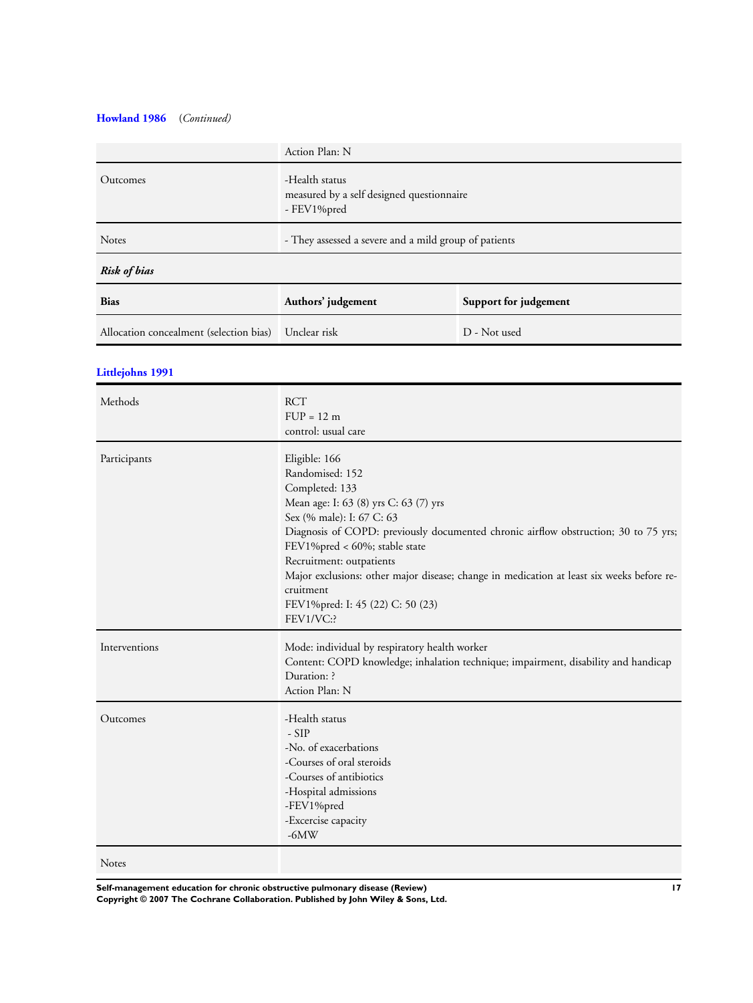## **[Howland 1986](#page-9-0)** (*Continued)*

|                                         | Action Plan: N                                                             |                       |
|-----------------------------------------|----------------------------------------------------------------------------|-----------------------|
| Outcomes                                | -Health status<br>measured by a self designed questionnaire<br>- FEV1%pred |                       |
| <b>Notes</b>                            | - They assessed a severe and a mild group of patients                      |                       |
| Risk of bias                            |                                                                            |                       |
| <b>Bias</b>                             | Authors' judgement                                                         | Support for judgement |
| Allocation concealment (selection bias) | Unclear risk                                                               | D - Not used          |
|                                         |                                                                            |                       |

## **[Littlejohns 1991](#page-9-0)**

| Methods       | <b>RCT</b><br>$FUP = 12 m$<br>control: usual care                                                                                                                                                                                                                                                                                                                                                                                       |
|---------------|-----------------------------------------------------------------------------------------------------------------------------------------------------------------------------------------------------------------------------------------------------------------------------------------------------------------------------------------------------------------------------------------------------------------------------------------|
| Participants  | Eligible: 166<br>Randomised: 152<br>Completed: 133<br>Mean age: I: 63 (8) yrs C: 63 (7) yrs<br>Sex (% male): I: 67 C: 63<br>Diagnosis of COPD: previously documented chronic airflow obstruction; 30 to 75 yrs;<br>FEV1%pred < 60%; stable state<br>Recruitment: outpatients<br>Major exclusions: other major disease; change in medication at least six weeks before re-<br>cruitment<br>FEV1%pred: I: 45 (22) C: 50 (23)<br>FEV1/VC:? |
| Interventions | Mode: individual by respiratory health worker<br>Content: COPD knowledge; inhalation technique; impairment, disability and handicap<br>Duration: ?<br>Action Plan: N                                                                                                                                                                                                                                                                    |
| Outcomes      | -Health status<br>$-SIP$<br>-No. of exacerbations<br>-Courses of oral steroids<br>-Courses of antibiotics<br>-Hospital admissions<br>-FEV1%pred<br>-Excercise capacity<br>$-6MW$                                                                                                                                                                                                                                                        |
| Notes         |                                                                                                                                                                                                                                                                                                                                                                                                                                         |

**Self-management education for chronic obstructive pulmonary disease (Review) 17**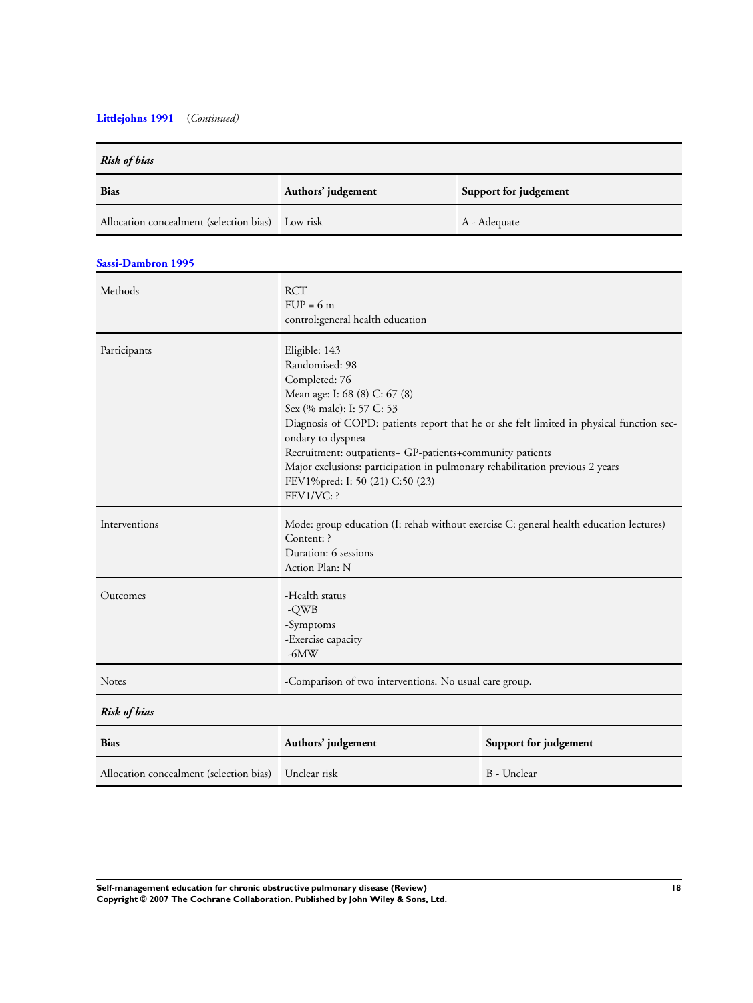## **[Littlejohns 1991](#page-9-0)** (*Continued)*

| Risk of bias                            |                                                                                                                                                                                                                                                                                                                                                                                                                              |                       |
|-----------------------------------------|------------------------------------------------------------------------------------------------------------------------------------------------------------------------------------------------------------------------------------------------------------------------------------------------------------------------------------------------------------------------------------------------------------------------------|-----------------------|
| <b>Bias</b>                             | Authors' judgement                                                                                                                                                                                                                                                                                                                                                                                                           | Support for judgement |
| Allocation concealment (selection bias) | Low risk                                                                                                                                                                                                                                                                                                                                                                                                                     | A - Adequate          |
| Sassi-Dambron 1995                      |                                                                                                                                                                                                                                                                                                                                                                                                                              |                       |
| Methods                                 | <b>RCT</b><br>$FUP = 6m$<br>control: general health education                                                                                                                                                                                                                                                                                                                                                                |                       |
| Participants                            | Eligible: 143<br>Randomised: 98<br>Completed: 76<br>Mean age: I: 68 (8) C: 67 (8)<br>Sex (% male): I: 57 C: 53<br>Diagnosis of COPD: patients report that he or she felt limited in physical function sec-<br>ondary to dyspnea<br>Recruitment: outpatients+ GP-patients+community patients<br>Major exclusions: participation in pulmonary rehabilitation previous 2 years<br>FEV1%pred: I: 50 (21) C:50 (23)<br>FEV1/VC: ? |                       |
| Interventions                           | Mode: group education (I: rehab without exercise C: general health education lectures)<br>Content: ?<br>Duration: 6 sessions<br>Action Plan: N                                                                                                                                                                                                                                                                               |                       |
| Outcomes                                | -Health status<br>-QWB<br>-Symptoms<br>-Exercise capacity<br>$-6MW$                                                                                                                                                                                                                                                                                                                                                          |                       |
| Notes                                   | -Comparison of two interventions. No usual care group.                                                                                                                                                                                                                                                                                                                                                                       |                       |
| <b>Risk of bias</b>                     |                                                                                                                                                                                                                                                                                                                                                                                                                              |                       |
| <b>Bias</b>                             | Authors' judgement                                                                                                                                                                                                                                                                                                                                                                                                           | Support for judgement |
| Allocation concealment (selection bias) | Unclear risk                                                                                                                                                                                                                                                                                                                                                                                                                 | B - Unclear           |

**Self-management education for chronic obstructive pulmonary disease (Review) 18 Copyright © 2007 The Cochrane Collaboration. Published by John Wiley & Sons, Ltd.**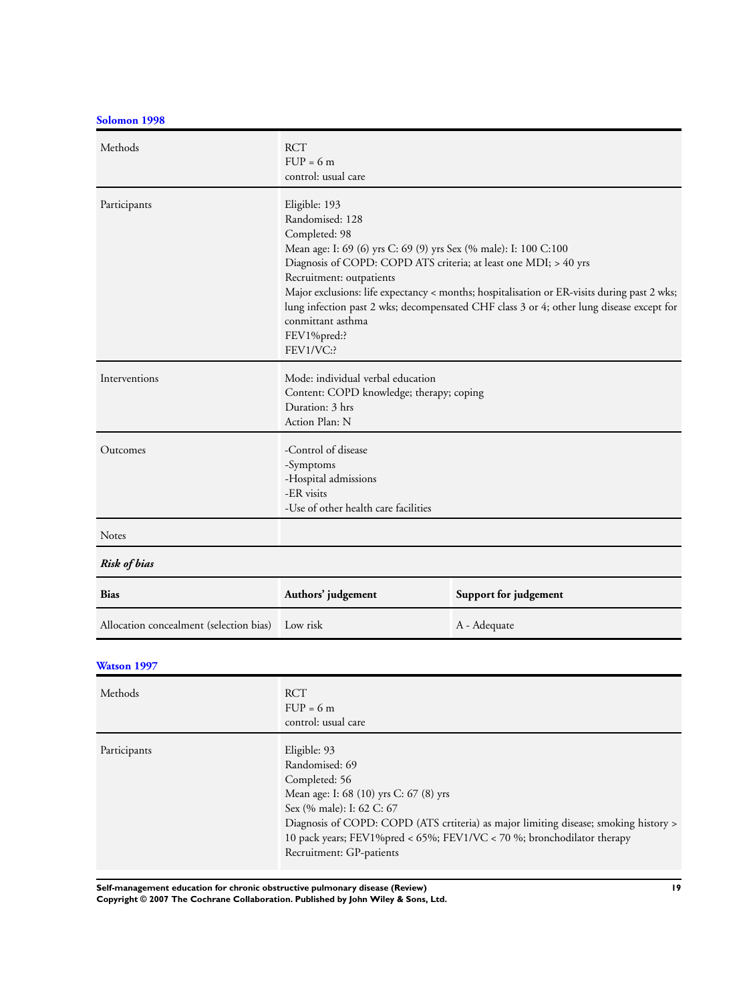**[Solomon 1998](#page-9-0)**

| Methods                                          | <b>RCT</b><br>$FUP = 6m$<br>control: usual care                                                                                                                                                                                                                                                                                                                                                                                                                   |                       |
|--------------------------------------------------|-------------------------------------------------------------------------------------------------------------------------------------------------------------------------------------------------------------------------------------------------------------------------------------------------------------------------------------------------------------------------------------------------------------------------------------------------------------------|-----------------------|
| Participants                                     | Eligible: 193<br>Randomised: 128<br>Completed: 98<br>Mean age: I: 69 (6) yrs C: 69 (9) yrs Sex (% male): I: 100 C:100<br>Diagnosis of COPD: COPD ATS criteria; at least one MDI; > 40 yrs<br>Recruitment: outpatients<br>Major exclusions: life expectancy < months; hospitalisation or ER-visits during past 2 wks;<br>lung infection past 2 wks; decompensated CHF class 3 or 4; other lung disease except for<br>conmittant asthma<br>FEV1%pred:?<br>FEV1/VC:? |                       |
| Interventions                                    | Mode: individual verbal education<br>Content: COPD knowledge; therapy; coping<br>Duration: 3 hrs<br>Action Plan: N                                                                                                                                                                                                                                                                                                                                                |                       |
| Outcomes                                         | -Control of disease<br>-Symptoms<br>-Hospital admissions<br>-ER visits<br>-Use of other health care facilities                                                                                                                                                                                                                                                                                                                                                    |                       |
| <b>Notes</b>                                     |                                                                                                                                                                                                                                                                                                                                                                                                                                                                   |                       |
| Risk of bias                                     |                                                                                                                                                                                                                                                                                                                                                                                                                                                                   |                       |
| <b>Bias</b>                                      | Authors' judgement                                                                                                                                                                                                                                                                                                                                                                                                                                                | Support for judgement |
| Allocation concealment (selection bias) Low risk |                                                                                                                                                                                                                                                                                                                                                                                                                                                                   | A - Adequate          |

## **[Watson 1997](#page-9-0)**

| Methods      | <b>RCT</b><br>$FUP = 6m$<br>control: usual care                                                                                                                                                                                                                                                                      |
|--------------|----------------------------------------------------------------------------------------------------------------------------------------------------------------------------------------------------------------------------------------------------------------------------------------------------------------------|
| Participants | Eligible: 93<br>Randomised: 69<br>Completed: 56<br>Mean age: I: 68 (10) yrs C: 67 (8) yrs<br>Sex (% male): I: 62 C: 67<br>Diagnosis of COPD: COPD (ATS crtiteria) as major limiting disease; smoking history ><br>10 pack years; FEV1%pred < 65%; FEV1/VC < 70 %; bronchodilator therapy<br>Recruitment: GP-patients |

**Self-management education for chronic obstructive pulmonary disease (Review) 19**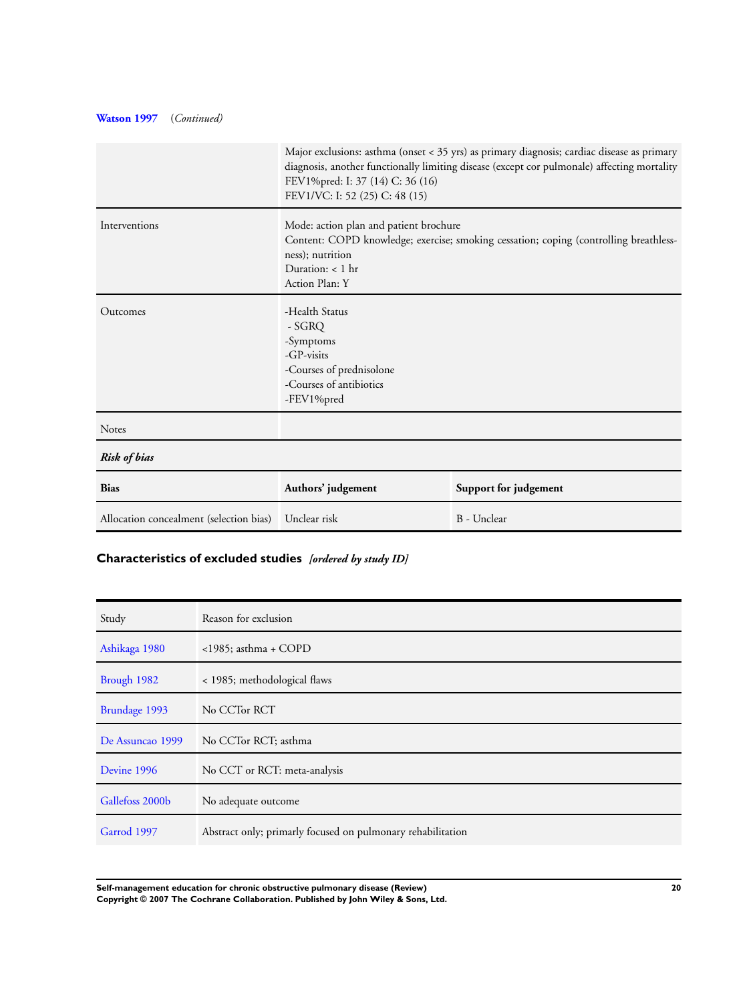## **[Watson 1997](#page-9-0)** (*Continued)*

|                                         | FEV1%pred: I: 37 (14) C: 36 (16)<br>FEV1/VC: I: 52 (25) C: 48 (15)                                                                                                                          | Major exclusions: asthma (onset < 35 yrs) as primary diagnosis; cardiac disease as primary<br>diagnosis, another functionally limiting disease (except cor pulmonale) affecting mortality |
|-----------------------------------------|---------------------------------------------------------------------------------------------------------------------------------------------------------------------------------------------|-------------------------------------------------------------------------------------------------------------------------------------------------------------------------------------------|
| Interventions                           | Mode: action plan and patient brochure<br>Content: COPD knowledge; exercise; smoking cessation; coping (controlling breathless-<br>ness); nutrition<br>Duration: $< 1$ hr<br>Action Plan: Y |                                                                                                                                                                                           |
| Outcomes                                | -Health Status<br>- SGRQ<br>-Symptoms<br>$-GP$ -visits<br>-Courses of prednisolone<br>-Courses of antibiotics<br>-FEV1%pred                                                                 |                                                                                                                                                                                           |
| <b>Notes</b>                            |                                                                                                                                                                                             |                                                                                                                                                                                           |
| <b>Risk of bias</b>                     |                                                                                                                                                                                             |                                                                                                                                                                                           |
| <b>Bias</b>                             | Authors' judgement                                                                                                                                                                          | Support for judgement                                                                                                                                                                     |
| Allocation concealment (selection bias) | Unclear risk                                                                                                                                                                                | B - Unclear                                                                                                                                                                               |

## **Characteristics of excluded studies** *[ordered by study ID]*

| Study            | Reason for exclusion                                        |
|------------------|-------------------------------------------------------------|
| Ashikaga 1980    | $\langle$ 1985; asthma + COPD                               |
| Brough 1982      | < 1985; methodological flaws                                |
| Brundage 1993    | No CCTor RCT                                                |
| De Assuncao 1999 | No CCTor RCT; asthma                                        |
| Devine 1996      | No CCT or RCT: meta-analysis                                |
| Gallefoss 2000b  | No adequate outcome                                         |
| Garrod 1997      | Abstract only; primarly focused on pulmonary rehabilitation |

**Self-management education for chronic obstructive pulmonary disease (Review) 20 Copyright © 2007 The Cochrane Collaboration. Published by John Wiley & Sons, Ltd.**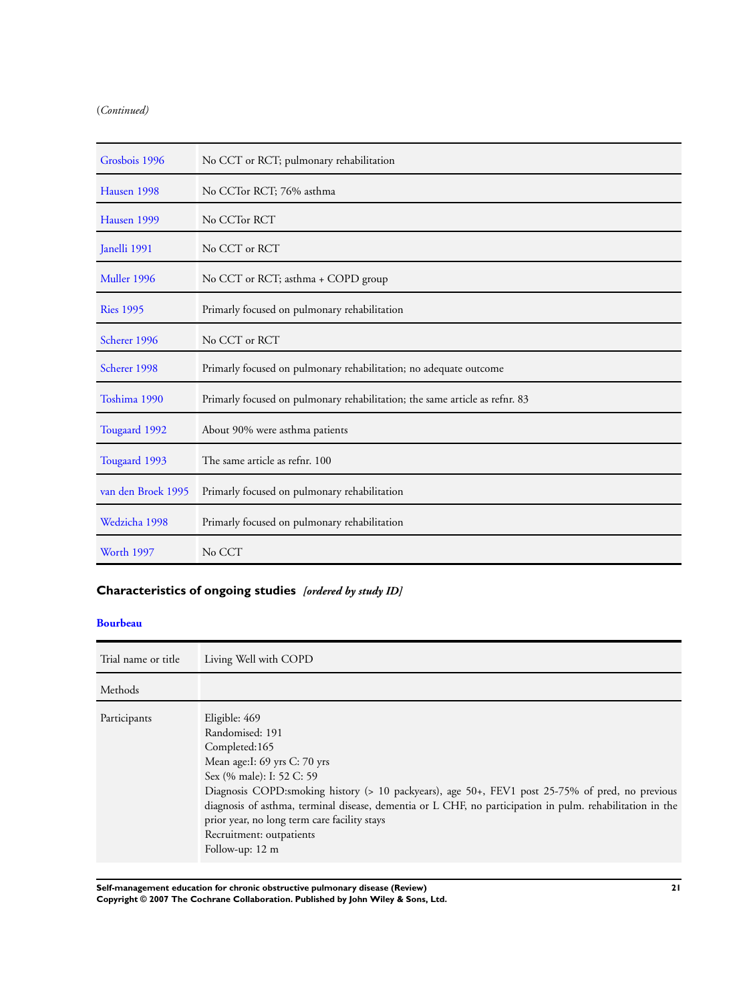## (*Continued)*

| Grosbois 1996      | No CCT or RCT; pulmonary rehabilitation                                     |
|--------------------|-----------------------------------------------------------------------------|
| Hausen 1998        | No CCTor RCT; 76% asthma                                                    |
| Hausen 1999        | No CCTor RCT                                                                |
| Janelli 1991       | No CCT or RCT                                                               |
| Muller 1996        | No CCT or RCT; asthma + COPD group                                          |
| <b>Ries 1995</b>   | Primarly focused on pulmonary rehabilitation                                |
| Scherer 1996       | No CCT or RCT                                                               |
| Scherer 1998       | Primarly focused on pulmonary rehabilitation; no adequate outcome           |
| Toshima 1990       | Primarly focused on pulmonary rehabilitation; the same article as refnr. 83 |
| Tougaard 1992      | About 90% were asthma patients                                              |
| Tougaard 1993      | The same article as refnr. 100                                              |
| van den Broek 1995 | Primarly focused on pulmonary rehabilitation                                |
| Wedzicha 1998      | Primarly focused on pulmonary rehabilitation                                |
| <b>Worth 1997</b>  | No CCT                                                                      |

## **Characteristics of ongoing studies** *[ordered by study ID]*

## **[Bourbeau](#page-9-0)**

| Trial name or title | Living Well with COPD                                                                                                                                                                                                                                                                                                                                                                                                          |
|---------------------|--------------------------------------------------------------------------------------------------------------------------------------------------------------------------------------------------------------------------------------------------------------------------------------------------------------------------------------------------------------------------------------------------------------------------------|
| Methods             |                                                                                                                                                                                                                                                                                                                                                                                                                                |
| Participants        | Eligible: 469<br>Randomised: 191<br>Completed:165<br>Mean age: I: 69 yrs C: 70 yrs<br>Sex (% male): I: 52 C: 59<br>Diagnosis COPD:smoking history (> 10 packyears), age 50+, FEV1 post 25-75% of pred, no previous<br>diagnosis of asthma, terminal disease, dementia or L CHF, no participation in pulm. rehabilitation in the<br>prior year, no long term care facility stays<br>Recruitment: outpatients<br>Follow-up: 12 m |

**Self-management education for chronic obstructive pulmonary disease (Review) 21 Copyright © 2007 The Cochrane Collaboration. Published by John Wiley & Sons, Ltd.**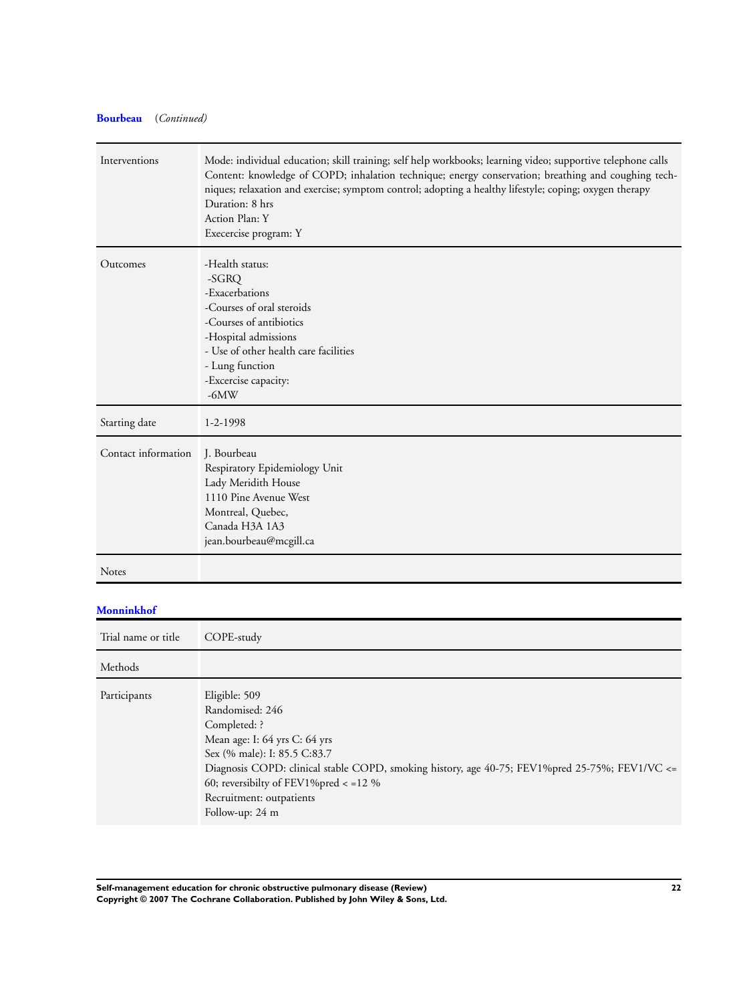## **[Bourbeau](#page-9-0)** (*Continued)*

| Interventions       | Mode: individual education; skill training; self help workbooks; learning video; supportive telephone calls<br>Content: knowledge of COPD; inhalation technique; energy conservation; breathing and coughing tech-<br>niques; relaxation and exercise; symptom control; adopting a healthy lifestyle; coping; oxygen therapy<br>Duration: 8 hrs<br>Action Plan: Y<br>Execercise program: Y |
|---------------------|--------------------------------------------------------------------------------------------------------------------------------------------------------------------------------------------------------------------------------------------------------------------------------------------------------------------------------------------------------------------------------------------|
| Outcomes            | -Health status:<br>$-SGRQ$<br>-Exacerbations<br>-Courses of oral steroids<br>-Courses of antibiotics<br>-Hospital admissions<br>- Use of other health care facilities<br>- Lung function<br>-Excercise capacity:<br>$-6MW$                                                                                                                                                                 |
| Starting date       | $1 - 2 - 1998$                                                                                                                                                                                                                                                                                                                                                                             |
| Contact information | J. Bourbeau<br>Respiratory Epidemiology Unit<br>Lady Meridith House<br>1110 Pine Avenue West<br>Montreal, Quebec,<br>Canada H3A 1A3<br>jean.bourbeau@mcgill.ca                                                                                                                                                                                                                             |
| <b>Notes</b>        |                                                                                                                                                                                                                                                                                                                                                                                            |

## **[Monninkhof](#page-9-0)**

Trial name or title COPE-study Methods Participants Eligible: 509 Randomised: 246 Completed: ? Mean age: I: 64 yrs C: 64 yrs Sex (% male): I: 85.5 C:83.7 Diagnosis COPD: clinical stable COPD, smoking history, age 40-75; FEV1%pred 25-75%; FEV1/VC <= 60; reversibilty of FEV1%pred < =12 % Recruitment: outpatients Follow-up: 24 m

**Self-management education for chronic obstructive pulmonary disease (Review) 22 Copyright © 2007 The Cochrane Collaboration. Published by John Wiley & Sons, Ltd.**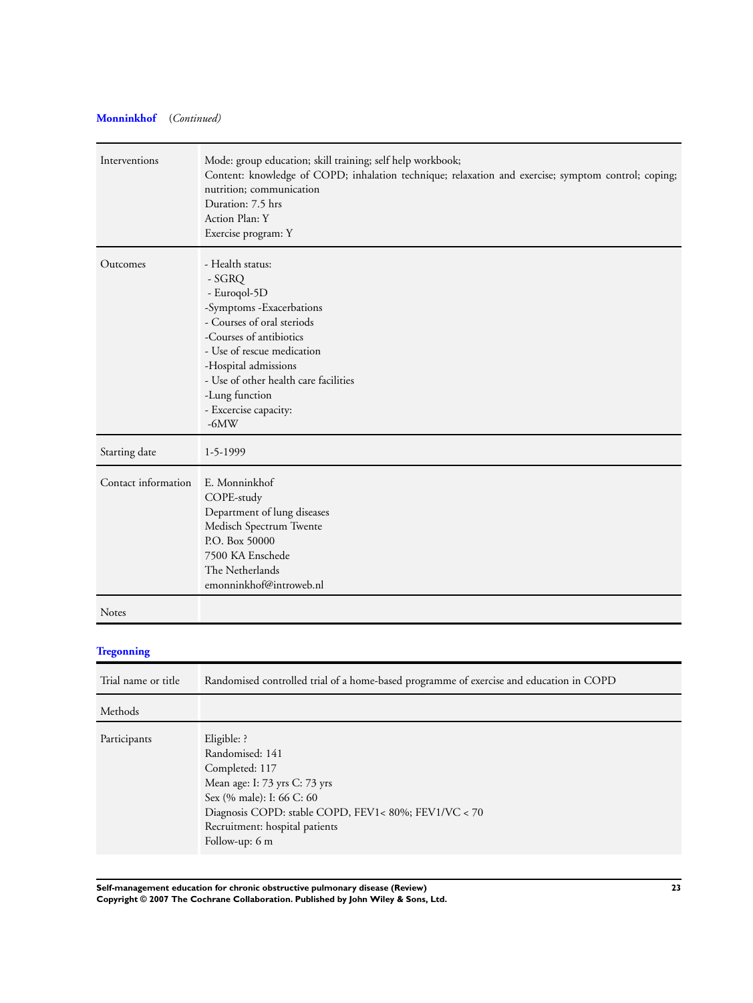## **[Monninkhof](#page-9-0)** (*Continued)*

| Interventions       | Mode: group education; skill training; self help workbook;<br>Content: knowledge of COPD; inhalation technique; relaxation and exercise; symptom control; coping;<br>nutrition; communication<br>Duration: 7.5 hrs<br>Action Plan: Y<br>Exercise program: Y                         |
|---------------------|-------------------------------------------------------------------------------------------------------------------------------------------------------------------------------------------------------------------------------------------------------------------------------------|
| Outcomes            | - Health status:<br>- SGRQ<br>- Euroqol-5D<br>-Symptoms -Exacerbations<br>- Courses of oral steriods<br>-Courses of antibiotics<br>- Use of rescue medication<br>-Hospital admissions<br>- Use of other health care facilities<br>-Lung function<br>- Excercise capacity:<br>$-6MW$ |
| Starting date       | 1-5-1999                                                                                                                                                                                                                                                                            |
| Contact information | E. Monninkhof<br>COPE-study<br>Department of lung diseases<br>Medisch Spectrum Twente<br>P.O. Box 50000<br>7500 KA Enschede<br>The Netherlands<br>emonninkhof@introweb.nl                                                                                                           |
| Notes               |                                                                                                                                                                                                                                                                                     |
| <b>Tregonning</b>   |                                                                                                                                                                                                                                                                                     |
| Trial name or title | Randomised controlled trial of a home-based programme of exercise and education in COPD                                                                                                                                                                                             |
| Methods             |                                                                                                                                                                                                                                                                                     |
| Participants        | Eligible: ?<br>Randomised: 141<br>Completed: 117<br>Mean age: I: 73 yrs C: 73 yrs<br>Sex (% male): I: 66 C: 60<br>Diagnosis COPD: stable COPD, FEV1<80%; FEV1/VC < 70<br>Recruitment: hospital patients<br>Follow-up: 6 m                                                           |

**Self-management education for chronic obstructive pulmonary disease (Review) 23 Copyright © 2007 The Cochrane Collaboration. Published by John Wiley & Sons, Ltd.**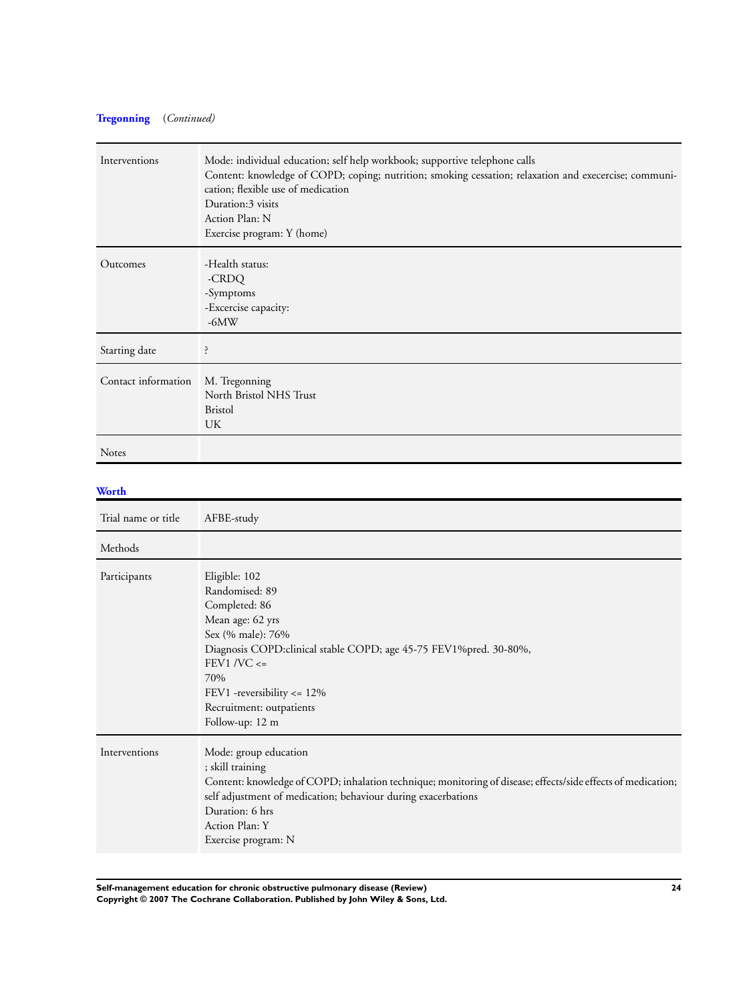## **[Tregonning](#page-9-0)** (*Continued)*

| Interventions       | Mode: individual education; self help workbook; supportive telephone calls<br>Content: knowledge of COPD; coping; nutrition; smoking cessation; relaxation and execercise; communi-<br>cation; flexible use of medication<br>Duration:3 visits<br>Action Plan: N<br>Exercise program: Y (home) |
|---------------------|------------------------------------------------------------------------------------------------------------------------------------------------------------------------------------------------------------------------------------------------------------------------------------------------|
| Outcomes            | -Health status:<br>-CRDQ<br>-Symptoms<br>-Excercise capacity:<br>$-6MW$                                                                                                                                                                                                                        |
| Starting date       | ?                                                                                                                                                                                                                                                                                              |
| Contact information | M. Tregonning<br>North Bristol NHS Trust<br><b>Bristol</b><br>UK                                                                                                                                                                                                                               |
| <b>Notes</b>        |                                                                                                                                                                                                                                                                                                |

## **[Worth](#page-9-0)**

| Trial name or title | AFBE-study                                                                                                                                                                                                                                                                             |
|---------------------|----------------------------------------------------------------------------------------------------------------------------------------------------------------------------------------------------------------------------------------------------------------------------------------|
| Methods             |                                                                                                                                                                                                                                                                                        |
| Participants        | Eligible: 102<br>Randomised: 89<br>Completed: 86<br>Mean age: 62 yrs<br>Sex (% male): 76%<br>Diagnosis COPD: clinical stable COPD; age 45-75 FEV1% pred. 30-80%,<br>$FEV1/VC \leq$<br>70%<br>FEV1 -reversibility $\leq$ 12%<br>Recruitment: outpatients<br>Follow-up: 12 m             |
| Interventions       | Mode: group education<br>; skill training<br>Content: knowledge of COPD; inhalation technique; monitoring of disease; effects/side effects of medication;<br>self adjustment of medication; behaviour during exacerbations<br>Duration: 6 hrs<br>Action Plan: Y<br>Exercise program: N |

**Self-management education for chronic obstructive pulmonary disease (Review) 24 Copyright © 2007 The Cochrane Collaboration. Published by John Wiley & Sons, Ltd.**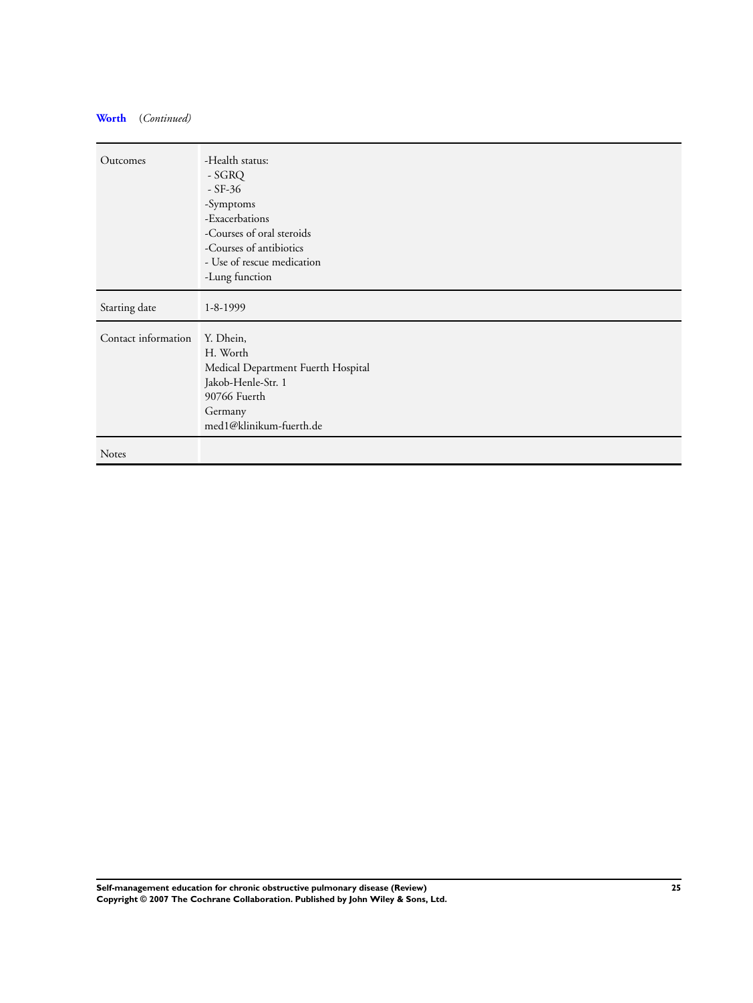## **[Worth](#page-9-0)** (*Continued)*

| Outcomes            | -Health status:<br>- SGRQ<br>$-$ SF-36<br>-Symptoms<br>-Exacerbations<br>-Courses of oral steroids<br>-Courses of antibiotics<br>- Use of rescue medication<br>-Lung function |
|---------------------|-------------------------------------------------------------------------------------------------------------------------------------------------------------------------------|
| Starting date       | $1 - 8 - 1999$                                                                                                                                                                |
| Contact information | Y. Dhein,<br>H. Worth<br>Medical Department Fuerth Hospital<br>Jakob-Henle-Str. 1<br>90766 Fuerth<br>Germany<br>med1@klinikum-fuerth.de                                       |
| <b>Notes</b>        |                                                                                                                                                                               |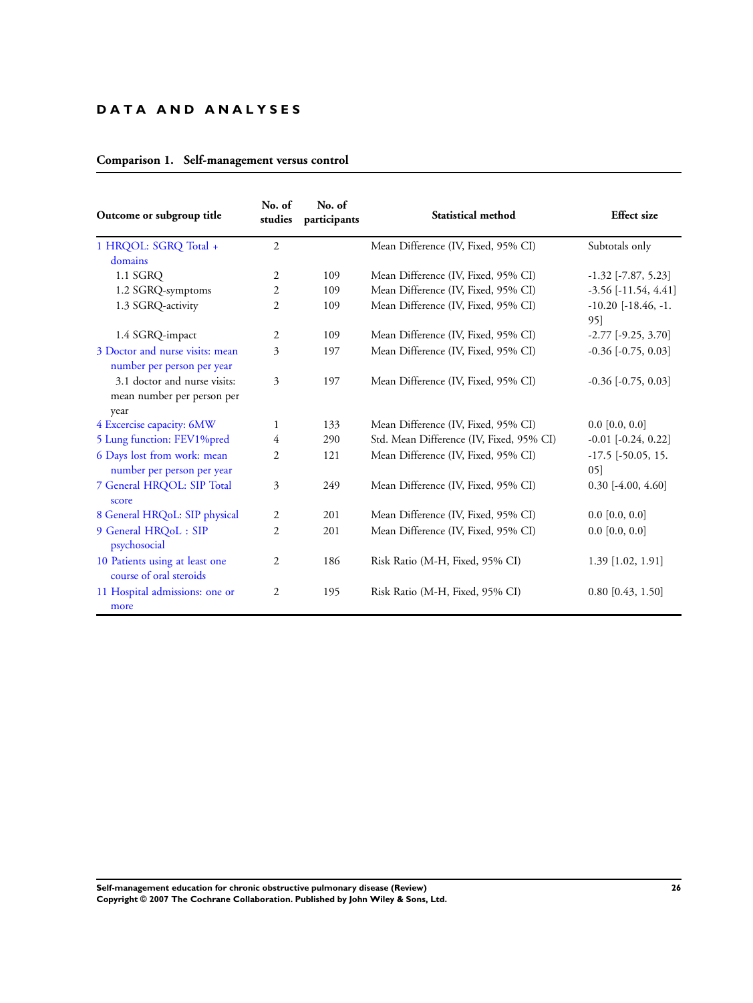## **D A T A A N D A N A L Y S E S**

## **Comparison 1. Self-management versus control**

| Outcome or subgroup title                                     | No. of<br>studies | No. of<br>participants | Statistical method                       | <b>Effect</b> size               |
|---------------------------------------------------------------|-------------------|------------------------|------------------------------------------|----------------------------------|
| 1 HRQOL: SGRQ Total +<br>domains                              | $\overline{2}$    |                        | Mean Difference (IV, Fixed, 95% CI)      | Subtotals only                   |
| 1.1 SGRQ                                                      | $\overline{2}$    | 109                    | Mean Difference (IV, Fixed, 95% CI)      | $-1.32$ [ $-7.87, 5.23$ ]        |
| 1.2 SGRQ-symptoms                                             | $\overline{2}$    | 109                    | Mean Difference (IV, Fixed, 95% CI)      | $-3.56$ [ $-11.54$ , $4.41$ ]    |
| 1.3 SGRQ-activity                                             | $\overline{2}$    | 109                    | Mean Difference (IV, Fixed, 95% CI)      | $-10.20$ $[-18.46, -1]$ .<br>95] |
| 1.4 SGRQ-impact                                               | $\overline{2}$    | 109                    | Mean Difference (IV, Fixed, 95% CI)      | $-2.77$ $[-9.25, 3.70]$          |
| 3 Doctor and nurse visits: mean<br>number per person per year | 3                 | 197                    | Mean Difference (IV, Fixed, 95% CI)      | $-0.36$ $[-0.75, 0.03]$          |
| 3.1 doctor and nurse visits:<br>mean number per person per    | 3                 | 197                    | Mean Difference (IV, Fixed, 95% CI)      | $-0.36$ $[-0.75, 0.03]$          |
| year                                                          |                   |                        |                                          |                                  |
| 4 Excercise capacity: 6MW                                     | $\mathbf{1}$      | 133                    | Mean Difference (IV, Fixed, 95% CI)      | $0.0$ [0.0, 0.0]                 |
| 5 Lung function: FEV1%pred                                    | 4                 | 290                    | Std. Mean Difference (IV, Fixed, 95% CI) | $-0.01$ $[-0.24, 0.22]$          |
| 6 Days lost from work: mean<br>number per person per year     | 2                 | 121                    | Mean Difference (IV, Fixed, 95% CI)      | $-17.5$ [ $-50.05$ , 15.<br>05]  |
| 7 General HRQOL: SIP Total<br>score                           | 3                 | 249                    | Mean Difference (IV, Fixed, 95% CI)      | $0.30$ [-4.00, 4.60]             |
| 8 General HRQoL: SIP physical                                 | $\overline{2}$    | 201                    | Mean Difference (IV, Fixed, 95% CI)      | $0.0$ [0.0, 0.0]                 |
| 9 General HRQoL: SIP<br>psychosocial                          | 2                 | 201                    | Mean Difference (IV, Fixed, 95% CI)      | $0.0$ [0.0, 0.0]                 |
| 10 Patients using at least one<br>course of oral steroids     | $\overline{2}$    | 186                    | Risk Ratio (M-H, Fixed, 95% CI)          | $1.39$ [1.02, 1.91]              |
| 11 Hospital admissions: one or<br>more                        | 2                 | 195                    | Risk Ratio (M-H, Fixed, 95% CI)          | $0.80$ [0.43, 1.50]              |

**Self-management education for chronic obstructive pulmonary disease (Review) 26 Copyright © 2007 The Cochrane Collaboration. Published by John Wiley & Sons, Ltd.**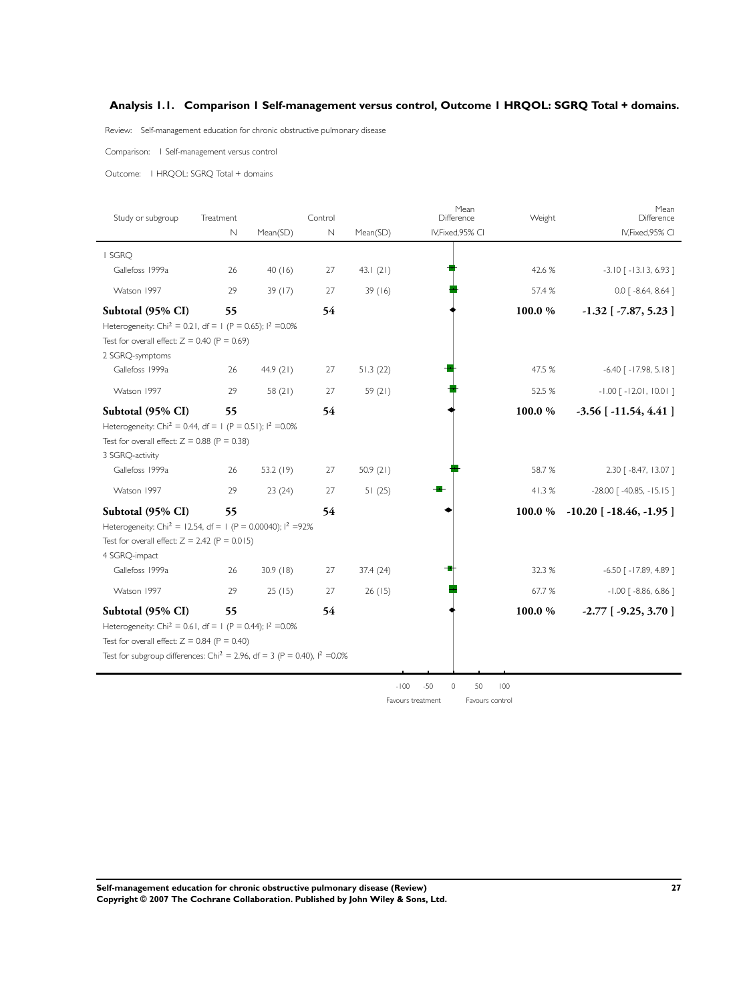## <span id="page-28-0"></span>**Analysis 1.1. Comparison 1 Self-management versus control, Outcome 1 HRQOL: SGRQ Total + domains.**

Review: Self-management education for chronic obstructive pulmonary disease

Comparison: 1 Self-management versus control

Outcome: 1 HRQOL: SGRQ Total + domains

| Study or subgroup                                                                       | Treatment   |             | Control     |           | Mean<br>Difference     | Weight | Mean<br>Difference                |
|-----------------------------------------------------------------------------------------|-------------|-------------|-------------|-----------|------------------------|--------|-----------------------------------|
|                                                                                         | $\mathbb N$ | Mean(SD)    | $\mathbb N$ | Mean(SD)  | IV, Fixed, 95% CI      |        | IV, Fixed, 95% CI                 |
| I SGRO                                                                                  |             |             |             |           |                        |        |                                   |
| Gallefoss 1999a                                                                         | 26          | 40(16)      | 27          | 43.1(21)  |                        | 42.6 % | $-3.10$ [ $-13.13$ , 6.93]        |
| Watson 1997                                                                             | 29          | 39 (17)     | 27          | 39(16)    |                        | 57.4 % | $0.0$ $\lceil -8.64, 8.64 \rceil$ |
| Subtotal (95% CI)                                                                       | 55          |             | 54          |           |                        | 100.0% | $-1.32$ [ $-7.87, 5.23$ ]         |
| Heterogeneity: Chi <sup>2</sup> = 0.21, df = 1 (P = 0.65); $1^2$ =0.0%                  |             |             |             |           |                        |        |                                   |
| Test for overall effect: $Z = 0.40$ (P = 0.69)                                          |             |             |             |           |                        |        |                                   |
| 2 SGRQ-symptoms                                                                         |             |             |             |           |                        |        |                                   |
| Gallefoss 1999a                                                                         | 26          | 44.9 $(21)$ | 27          | 51.3(22)  |                        | 47.5 % | $-6.40$ [ $-17.98$ , $5.18$ ]     |
| Watson 1997                                                                             | 29          | 58(21)      | 27          | 59 $(21)$ |                        | 52.5 % | $-1.00$ $[-12.01, 10.01]$         |
| Subtotal (95% CI)                                                                       | 55          |             | 54          |           |                        | 100.0% | $-3.56$ [ $-11.54$ , 4.41 ]       |
| Heterogeneity: Chi <sup>2</sup> = 0.44, df = 1 (P = 0.51); $1^2$ =0.0%                  |             |             |             |           |                        |        |                                   |
| Test for overall effect: $Z = 0.88$ (P = 0.38)                                          |             |             |             |           |                        |        |                                   |
| 3 SGRQ-activity                                                                         |             |             |             |           |                        |        |                                   |
| Gallefoss 1999a                                                                         | 26          | 53.2 (19)   | 27          | 50.9(21)  |                        | 58.7%  | 2.30 [ -8.47, 13.07 ]             |
| Watson 1997                                                                             | 29          | 23(24)      | 27          | 51(25)    |                        | 41.3%  | $-28.00$ [ $-40.85$ , $-15.15$ ]  |
| Subtotal (95% CI)                                                                       | 55          |             | 54          |           |                        | 100.0% | $-10.20$ [ $-18.46$ , $-1.95$ ]   |
| Heterogeneity: Chi <sup>2</sup> = 12.54, df = 1 (P = 0.00040); $1^2$ =92%               |             |             |             |           |                        |        |                                   |
| Test for overall effect: $Z = 2.42$ (P = 0.015)                                         |             |             |             |           |                        |        |                                   |
| 4 SGRQ-impact                                                                           |             |             |             |           |                        |        |                                   |
| Gallefoss 1999a                                                                         | 26          | 30.9(18)    | 27          | 37.4 (24) |                        | 32.3 % | $-6.50$ [ $-17.89$ , 4.89]        |
| Watson 1997                                                                             | 29          | 25(15)      | 27          | 26(15)    |                        | 67.7%  | $-1.00$ [ $-8.86$ , 6.86 ]        |
| Subtotal (95% CI)                                                                       | 55          |             | 54          |           |                        | 100.0% | $-2.77$ [ $-9.25, 3.70$ ]         |
| Heterogeneity: Chi <sup>2</sup> = 0.61, df = 1 (P = 0.44); $1^2$ =0.0%                  |             |             |             |           |                        |        |                                   |
| Test for overall effect: $Z = 0.84$ (P = 0.40)                                          |             |             |             |           |                        |        |                                   |
| Test for subgroup differences: Chi <sup>2</sup> = 2.96, df = 3 (P = 0.40), $1^2$ = 0.0% |             |             |             |           |                        |        |                                   |
|                                                                                         |             |             |             |           |                        |        |                                   |
|                                                                                         |             |             |             | $-100$    | $-50$<br>$\circ$<br>50 | 100    |                                   |

Favours treatment Favours control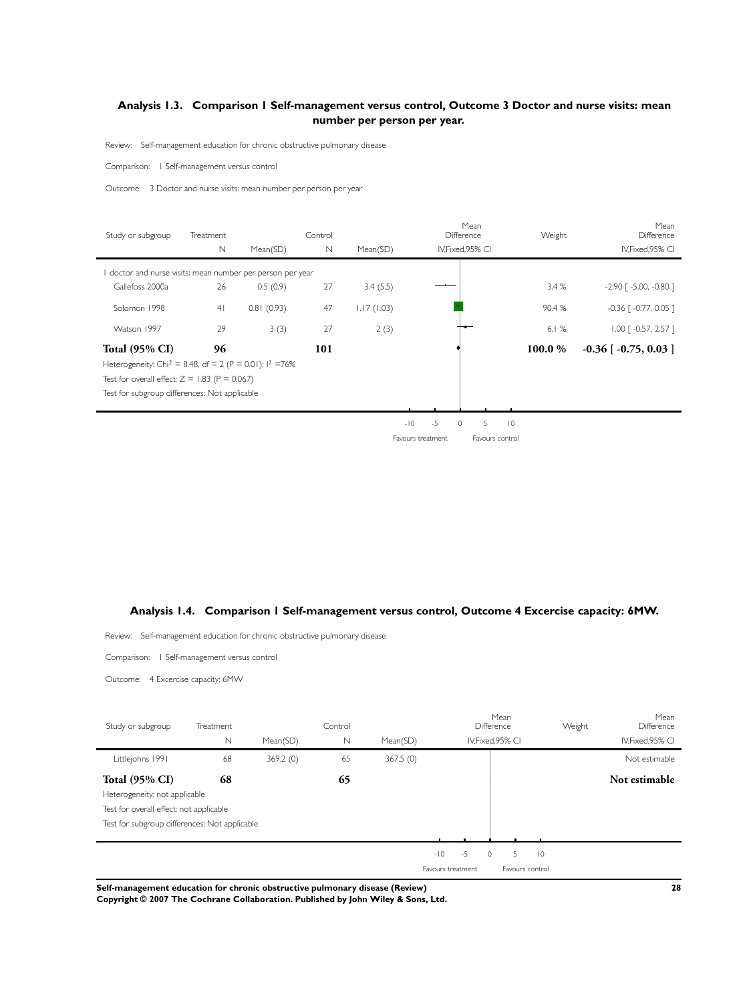## <span id="page-29-0"></span>**Analysis 1.3. Comparison 1 Self-management versus control, Outcome 3 Doctor and nurse visits: mean number per person per year.**

Review: Self-management education for chronic obstructive pulmonary disease

Comparison: 1 Self-management versus control

Outcome: 3 Doctor and nurse visits: mean number per person per year

| Study or subgroup                                                                              | Treatment      |            | Control     |            |                   |      | Mean<br>Difference |                 |                 | Weight | Mean<br>Difference                  |
|------------------------------------------------------------------------------------------------|----------------|------------|-------------|------------|-------------------|------|--------------------|-----------------|-----------------|--------|-------------------------------------|
|                                                                                                | $\mathbb N$    | Mean(SD)   | $\mathbb N$ | Mean(SD)   |                   |      | IV, Fixed, 95% CI  |                 |                 |        | IV, Fixed, 95% CI                   |
| doctor and nurse visits: mean number per person per year                                       |                |            |             |            |                   |      |                    |                 |                 |        |                                     |
| Gallefoss 2000a                                                                                | 26             | 0.5(0.9)   | 27          | 3.4(5.5)   |                   |      |                    |                 |                 | 3.4%   | $-2.90$ [ $-5.00$ , $-0.80$ ]       |
| Solomon 1998                                                                                   | 4 <sub>1</sub> | 0.81(0.93) | 47          | 1.17(1.03) |                   |      |                    |                 |                 | 90.4 % | $-0.36$ $\lceil -0.77, 0.05 \rceil$ |
| Watson 1997                                                                                    | 29             | 3(3)       | 27          | 2(3)       |                   |      |                    |                 |                 | 6.1%   | $1.00$ $\lceil -0.57, 2.57 \rceil$  |
| <b>Total (95% CI)</b><br>Heterogeneity: Chi <sup>2</sup> = 8.48, df = 2 (P = 0.01); $1^2$ =76% | 96             |            | 101         |            |                   |      |                    |                 |                 | 100.0% | $-0.36$ [ $-0.75$ , 0.03 ]          |
| Test for overall effect: $Z = 1.83$ (P = 0.067)                                                |                |            |             |            |                   |      |                    |                 |                 |        |                                     |
| Test for subgroup differences: Not applicable                                                  |                |            |             |            |                   |      |                    |                 |                 |        |                                     |
|                                                                                                |                |            |             |            |                   |      |                    |                 |                 |        |                                     |
|                                                                                                |                |            |             |            | $-10$             | $-5$ | $\circ$            | 5               | $\overline{10}$ |        |                                     |
|                                                                                                |                |            |             |            | Favours treatment |      |                    | Favours control |                 |        |                                     |

## **Analysis 1.4. Comparison 1 Self-management versus control, Outcome 4 Excercise capacity: 6MW.**

Review: Self-management education for chronic obstructive pulmonary disease

Comparison: 1 Self-management versus control

Outcome: 4 Excercise capacity: 6MW

J.

| Study or subgroup                             | Treatment<br>N | Mean(SD) | Control<br>$\mathbb N$ | Mean(SD) |                   |      | Mean<br>Difference<br>IV.Fixed.95% CI | Weight         | Mean<br>Difference<br>IV, Fixed, 95% CI |
|-----------------------------------------------|----------------|----------|------------------------|----------|-------------------|------|---------------------------------------|----------------|-----------------------------------------|
| Littlejohns 1991                              | 68             | 369.2(0) | 65                     | 367.5(0) |                   |      |                                       |                | Not estimable                           |
| <b>Total (95% CI)</b>                         | 68             |          | 65                     |          |                   |      |                                       |                | Not estimable                           |
| Heterogeneity: not applicable                 |                |          |                        |          |                   |      |                                       |                |                                         |
| Test for overall effect: not applicable       |                |          |                        |          |                   |      |                                       |                |                                         |
| Test for subgroup differences: Not applicable |                |          |                        |          |                   |      |                                       |                |                                         |
|                                               |                |          |                        |          |                   |      |                                       |                |                                         |
|                                               |                |          |                        |          | $-10$             | $-5$ | $\circ$<br>5                          | $\overline{0}$ |                                         |
|                                               |                |          |                        |          | Favours treatment |      | Favours control                       |                |                                         |

**Self-management education for chronic obstructive pulmonary disease (Review) 28**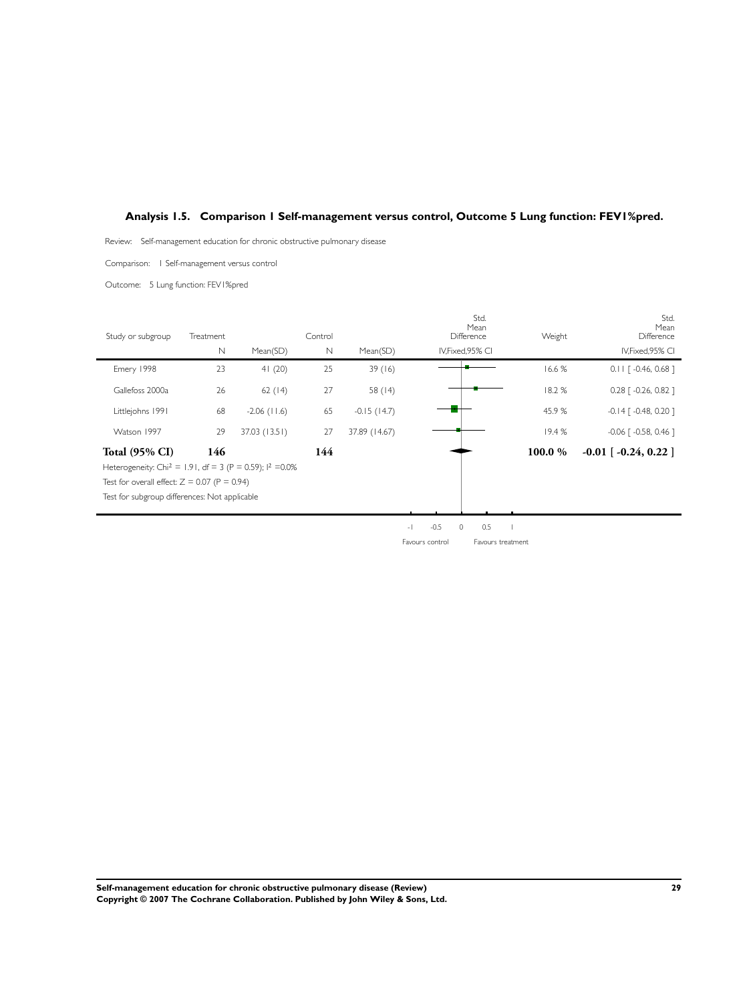## <span id="page-30-0"></span>**Analysis 1.5. Comparison 1 Self-management versus control, Outcome 5 Lung function: FEV1%pred.**

Review: Self-management education for chronic obstructive pulmonary disease

Comparison: 1 Self-management versus control

Outcome: 5 Lung function: FEV1%pred

| Study or subgroup                                                      | Treatment   |                | Control     |                |                                    | Std.<br>Mean<br>Difference | Weight | Std.<br>Mean<br>Difference          |
|------------------------------------------------------------------------|-------------|----------------|-------------|----------------|------------------------------------|----------------------------|--------|-------------------------------------|
|                                                                        | $\mathbb N$ | Mean(SD)       | $\mathbb N$ | Mean(SD)       |                                    | IV, Fixed, 95% CI          |        | IV, Fixed, 95% CI                   |
| Emery 1998                                                             | 23          | 41(20)         | 25          | 39(16)         |                                    |                            | 16.6 % | $0.11$ $\lceil -0.46, 0.68 \rceil$  |
| Gallefoss 2000a                                                        | 26          | 62(14)         | 27          | 58 $(14)$      |                                    |                            | 18.2%  | $0.28$ $\lceil -0.26, 0.82 \rceil$  |
| Littlejohns 1991                                                       | 68          | $-2.06$ (11.6) | 65          | $-0.15$ (14.7) |                                    |                            | 45.9%  | $-0.14$ $[-0.48, 0.20]$             |
| Watson 1997                                                            | 29          | 37.03 (13.51)  | 27          | 37.89 (14.67)  |                                    |                            | 19.4%  | $-0.06$ $\lceil -0.58, 0.46 \rceil$ |
| <b>Total (95% CI)</b>                                                  | 146         |                | 144         |                |                                    |                            | 100.0% | $-0.01$ [ $-0.24$ , 0.22]           |
| Heterogeneity: Chi <sup>2</sup> = 1.91, df = 3 (P = 0.59); $1^2$ =0.0% |             |                |             |                |                                    |                            |        |                                     |
| Test for overall effect: $Z = 0.07$ (P = 0.94)                         |             |                |             |                |                                    |                            |        |                                     |
| Test for subgroup differences: Not applicable                          |             |                |             |                |                                    |                            |        |                                     |
|                                                                        |             |                |             |                |                                    |                            |        |                                     |
|                                                                        |             |                |             |                | $-0.5$<br>$\overline{\phantom{a}}$ | $\circ$<br>0.5             |        |                                     |

Favours control Favours treatment

**Self-management education for chronic obstructive pulmonary disease (Review) 29 Copyright © 2007 The Cochrane Collaboration. Published by John Wiley & Sons, Ltd.**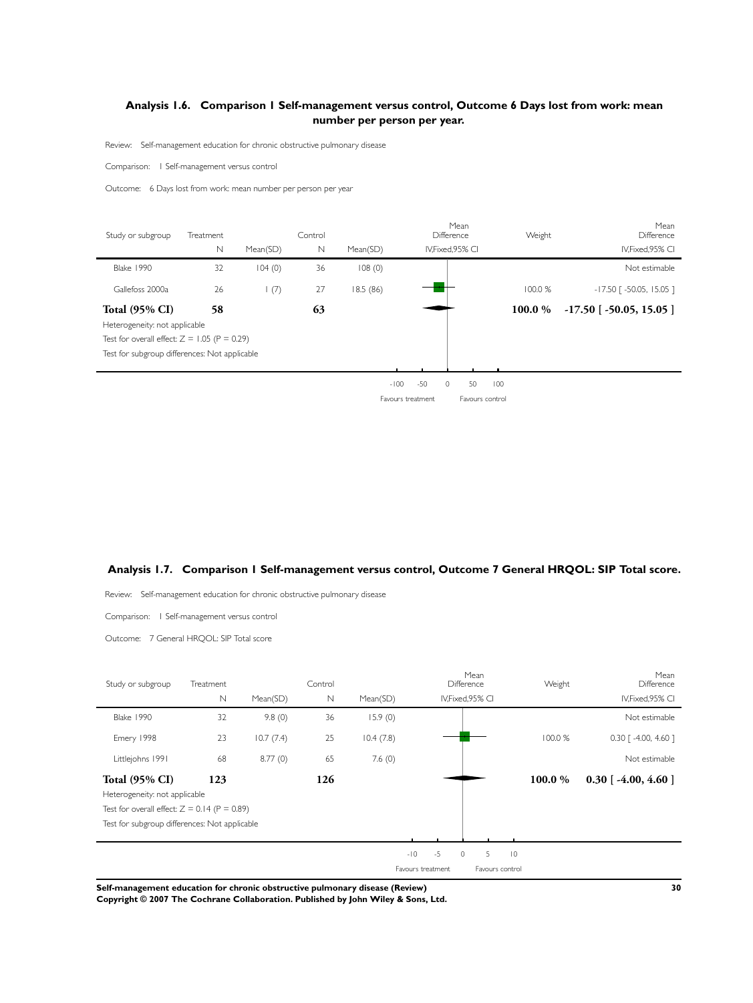## <span id="page-31-0"></span>**Analysis 1.6. Comparison 1 Self-management versus control, Outcome 6 Days lost from work: mean number per person per year.**

Review: Self-management education for chronic obstructive pulmonary disease

Comparison: 1 Self-management versus control

Outcome: 6 Days lost from work: mean number per person per year

| Study or subgroup                              | Treatment    |              | Control     |          | <b>Difference</b> | Mean            | Weight  | Mean<br>Difference            |
|------------------------------------------------|--------------|--------------|-------------|----------|-------------------|-----------------|---------|-------------------------------|
|                                                | $\mathsf{N}$ | Mean(SD)     | $\mathbb N$ | Mean(SD) | IV, Fixed, 95% CI |                 |         | IV, Fixed, 95% CI             |
| <b>Blake 1990</b>                              | 32           | 104(0)       | 36          | 108(0)   |                   |                 |         | Not estimable                 |
| Gallefoss 2000a                                | 26           | $\vdash$ (7) | 27          | 18.5(86) |                   |                 | 100.0 % | $-17.50$ [ $-50.05$ , 15.05 ] |
| <b>Total (95% CI)</b>                          | 58           |              | 63          |          |                   |                 | 100.0 % | $-17.50$ [ $-50.05$ , 15.05 ] |
| Heterogeneity: not applicable                  |              |              |             |          |                   |                 |         |                               |
| Test for overall effect: $Z = 1.05$ (P = 0.29) |              |              |             |          |                   |                 |         |                               |
| Test for subgroup differences: Not applicable  |              |              |             |          |                   |                 |         |                               |
|                                                |              |              |             |          |                   |                 |         |                               |
|                                                |              |              |             | $-100$   | -50<br>$\circ$    | 50<br>100       |         |                               |
|                                                |              |              |             |          | Favours treatment | Favours control |         |                               |

## **Analysis 1.7. Comparison 1 Self-management versus control, Outcome 7 General HRQOL: SIP Total score.**

Review: Self-management education for chronic obstructive pulmonary disease

Comparison: 1 Self-management versus control

Outcome: 7 General HRQOL: SIP Total score

| Study or subgroup                              | Treatment   |           | Control |           |                   |                 | Mean<br>Difference |                | Weight  | Mean<br>Difference                 |
|------------------------------------------------|-------------|-----------|---------|-----------|-------------------|-----------------|--------------------|----------------|---------|------------------------------------|
|                                                | $\mathbb N$ | Mean(SD)  | N       | Mean(SD)  |                   |                 | IV, Fixed, 95% CI  |                |         | IV, Fixed, 95% CI                  |
| <b>Blake 1990</b>                              | 32          | 9.8(0)    | 36      | 15.9(0)   |                   |                 |                    |                |         | Not estimable                      |
| Emery 1998                                     | 23          | 10.7(7.4) | 25      | 10.4(7.8) |                   |                 |                    |                | 100.0 % | $0.30$ $\lceil -4.00, 4.60 \rceil$ |
| Littlejohns 1991                               | 68          | 8.77(0)   | 65      | 7.6(0)    |                   |                 |                    |                |         | Not estimable                      |
| <b>Total (95% CI)</b>                          | 123         |           | 126     |           |                   |                 |                    |                | 100.0%  | $0.30$ [ -4.00, 4.60 ]             |
| Heterogeneity: not applicable                  |             |           |         |           |                   |                 |                    |                |         |                                    |
| Test for overall effect: $Z = 0.14$ (P = 0.89) |             |           |         |           |                   |                 |                    |                |         |                                    |
| Test for subgroup differences: Not applicable  |             |           |         |           |                   |                 |                    |                |         |                                    |
|                                                |             |           |         |           |                   |                 |                    |                |         |                                    |
|                                                |             |           |         |           | $-10$             | $-5$<br>$\circ$ | 5                  | $\overline{0}$ |         |                                    |
|                                                |             |           |         |           | Favours treatment |                 | Favours control    |                |         |                                    |

**Self-management education for chronic obstructive pulmonary disease (Review) 30**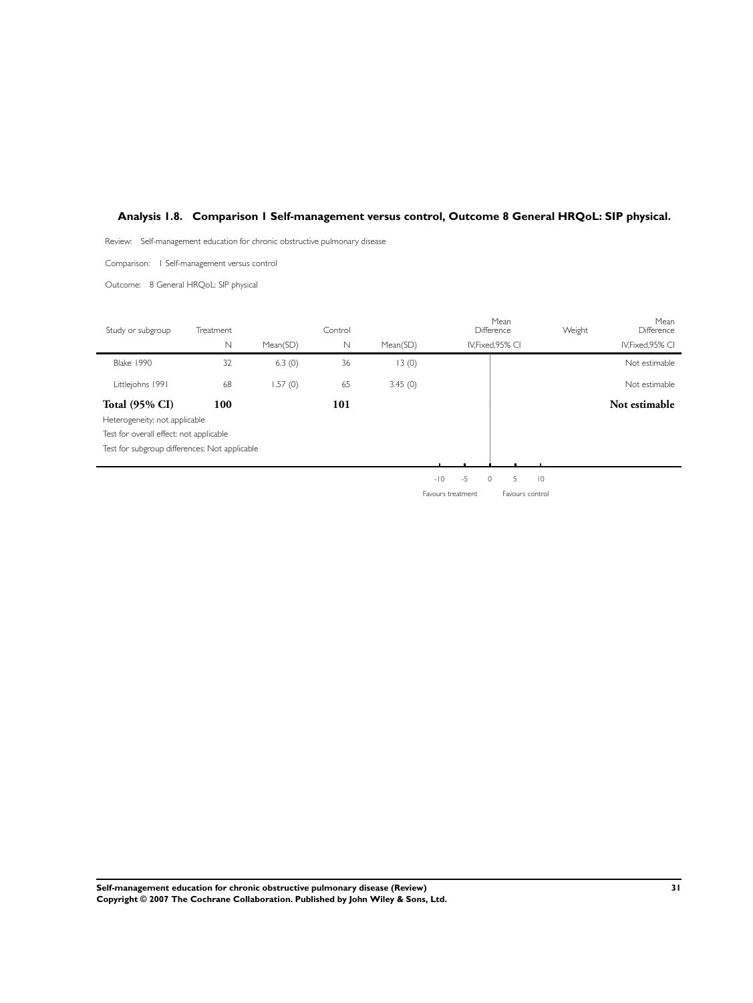## <span id="page-32-0"></span>**Analysis 1.8. Comparison 1 Self-management versus control, Outcome 8 General HRQoL: SIP physical.**

Review: Self-management education for chronic obstructive pulmonary disease

Comparison: 1 Self-management versus control

Outcome: 8 General HRQoL: SIP physical

| Study or subgroup                             | Treatment   |          | Control     |          |               | Mean<br>Difference             | Weight | Mean<br>Difference |
|-----------------------------------------------|-------------|----------|-------------|----------|---------------|--------------------------------|--------|--------------------|
|                                               | $\mathbb N$ | Mean(SD) | $\mathbb N$ | Mean(SD) |               | IV, Fixed, 95% CI              |        | IV, Fixed, 95% CI  |
| <b>Blake 1990</b>                             | 32          | 6.3(0)   | 36          | 13(0)    |               |                                |        | Not estimable      |
| Littlejohns 1991                              | 68          | 1.57(0)  | 65          | 3.45(0)  |               |                                |        | Not estimable      |
| <b>Total (95% CI)</b>                         | 100         |          | 101         |          |               |                                |        | Not estimable      |
| Heterogeneity: not applicable                 |             |          |             |          |               |                                |        |                    |
| Test for overall effect: not applicable       |             |          |             |          |               |                                |        |                    |
| Test for subgroup differences: Not applicable |             |          |             |          |               |                                |        |                    |
|                                               |             |          |             |          |               |                                |        |                    |
|                                               |             |          |             |          | $-5$<br>$-10$ | 5<br>$\overline{0}$<br>$\circ$ |        |                    |

Favours treatment Favours control

**Self-management education for chronic obstructive pulmonary disease (Review) 31 Copyright © 2007 The Cochrane Collaboration. Published by John Wiley & Sons, Ltd.**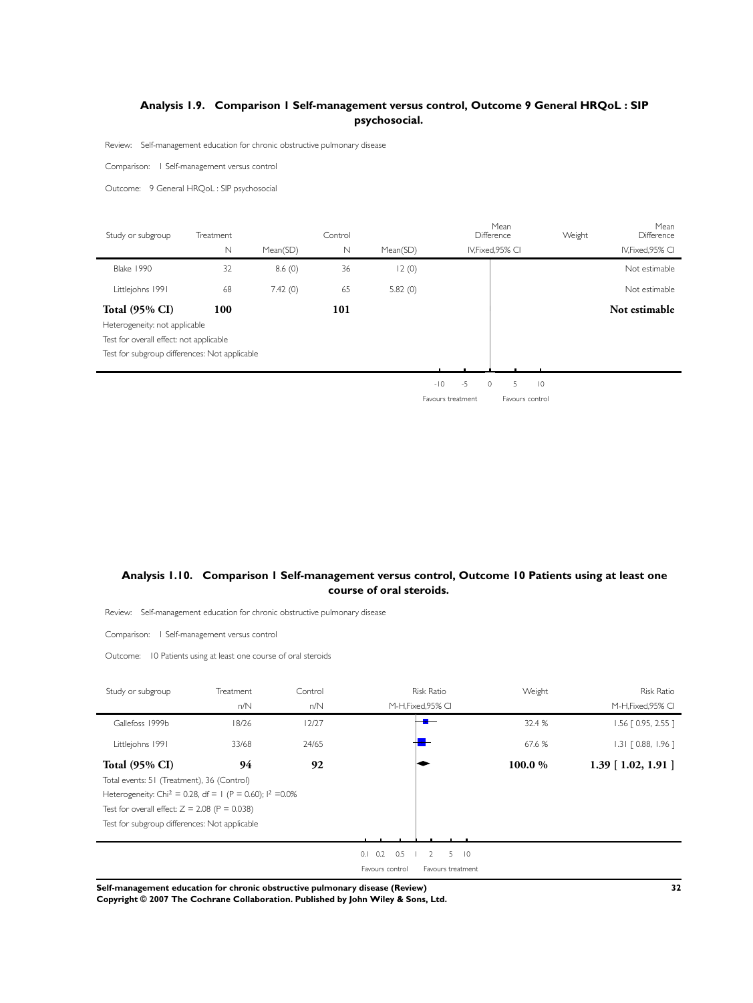## <span id="page-33-0"></span>**Analysis 1.9. Comparison 1 Self-management versus control, Outcome 9 General HRQoL : SIP psychosocial.**

Review: Self-management education for chronic obstructive pulmonary disease

Comparison: 1 Self-management versus control

Outcome: 9 General HRQoL : SIP psychosocial

j.

| Study or subgroup                             | Treatment   |          | Control |          |       |    | Mean<br>Difference |                     | Weight | Mean<br>Difference |
|-----------------------------------------------|-------------|----------|---------|----------|-------|----|--------------------|---------------------|--------|--------------------|
|                                               | $\mathbb N$ | Mean(SD) | N       | Mean(SD) |       |    | IV, Fixed, 95% CI  |                     |        | IV, Fixed, 95% CI  |
| <b>Blake 1990</b>                             | 32          | 8.6(0)   | 36      | 12(0)    |       |    |                    |                     |        | Not estimable      |
| Littlejohns 1991                              | 68          | 7.42(0)  | 65      | 5.82(0)  |       |    |                    |                     |        | Not estimable      |
| <b>Total (95% CI)</b>                         | 100         |          | 101     |          |       |    |                    |                     |        | Not estimable      |
| Heterogeneity: not applicable                 |             |          |         |          |       |    |                    |                     |        |                    |
| Test for overall effect: not applicable       |             |          |         |          |       |    |                    |                     |        |                    |
| Test for subgroup differences: Not applicable |             |          |         |          |       |    |                    |                     |        |                    |
|                                               |             |          |         |          |       |    |                    |                     |        |                    |
|                                               |             |          |         |          | $-10$ | -5 | $\Omega$           | $\overline{0}$<br>5 |        |                    |

Favours treatment Favours control

## **Analysis 1.10. Comparison 1 Self-management versus control, Outcome 10 Patients using at least one course of oral steroids.**

Review: Self-management education for chronic obstructive pulmonary disease

Comparison: 1 Self-management versus control

Outcome: 10 Patients using at least one course of oral steroids

| Study or subgroup                                                      | Treatment | Control | <b>Risk Ratio</b>                               | Weight | <b>Risk Ratio</b>     |
|------------------------------------------------------------------------|-----------|---------|-------------------------------------------------|--------|-----------------------|
|                                                                        | n/N       | n/N     | M-H, Fixed, 95% CI                              |        | M-H, Fixed, 95% CI    |
| Gallefoss 1999b                                                        | 18/26     | 12/27   |                                                 | 32.4 % | 1.56 [0.95, 2.55]     |
| Littlejohns 1991                                                       | 33/68     | 24/65   |                                                 | 67.6 % | $1.31$ $[0.88, 1.96]$ |
| <b>Total (95% CI)</b>                                                  | 94        | 92      |                                                 | 100.0% | $1.39$ [ 1.02, 1.91 ] |
| Total events: 51 (Treatment), 36 (Control)                             |           |         |                                                 |        |                       |
| Heterogeneity: Chi <sup>2</sup> = 0.28, df = 1 (P = 0.60); $1^2$ =0.0% |           |         |                                                 |        |                       |
| Test for overall effect: $Z = 2.08$ (P = 0.038)                        |           |         |                                                 |        |                       |
| Test for subgroup differences: Not applicable                          |           |         |                                                 |        |                       |
|                                                                        |           |         |                                                 |        |                       |
|                                                                        |           |         | $0.1$ $0.2$ $0.5$<br>$5 \t10$<br>$\overline{2}$ |        |                       |
|                                                                        |           |         | Favours control<br>Favours treatment            |        |                       |

**Self-management education for chronic obstructive pulmonary disease (Review) 32**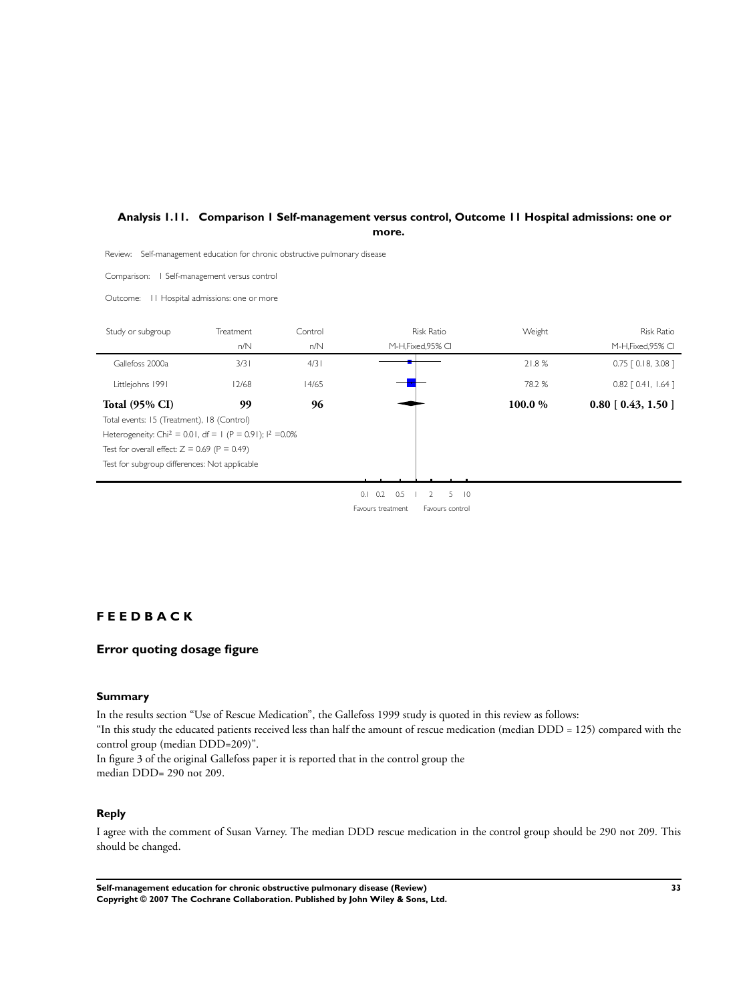## <span id="page-34-0"></span>**Analysis 1.11. Comparison 1 Self-management versus control, Outcome 11 Hospital admissions: one or more.**

Review: Self-management education for chronic obstructive pulmonary disease

Comparison: 1 Self-management versus control

Outcome: 11 Hospital admissions: one or more

| Study or subgroup                                                      | Treatment | Control | <b>Risk Ratio</b>                                          | Weight | <b>Risk Ratio</b>        |
|------------------------------------------------------------------------|-----------|---------|------------------------------------------------------------|--------|--------------------------|
|                                                                        | n/N       | n/N     | M-H, Fixed, 95% CI                                         |        | M-H, Fixed, 95% CI       |
| Gallefoss 2000a                                                        | 3/3       | 4/3     |                                                            | 21.8%  | $0.75$ $[0.18, 3.08]$    |
| Littlejohns 1991                                                       | 12/68     | 14/65   |                                                            | 78.2 % | $0.82$ [ 0.41, 1.64 ]    |
| <b>Total (95% CI)</b>                                                  | 99        | 96      |                                                            | 100.0% | $0.80$ [ $0.43$ , 1.50 ] |
| Total events: 15 (Treatment), 18 (Control)                             |           |         |                                                            |        |                          |
| Heterogeneity: Chi <sup>2</sup> = 0.01, df = 1 (P = 0.91); $1^2$ =0.0% |           |         |                                                            |        |                          |
| Test for overall effect: $Z = 0.69$ (P = 0.49)                         |           |         |                                                            |        |                          |
| Test for subgroup differences: Not applicable                          |           |         |                                                            |        |                          |
|                                                                        |           |         |                                                            |        |                          |
|                                                                        |           |         | 0.5<br>0.2<br>5.<br>$\overline{0}$<br>0.1<br>$\mathcal{L}$ |        |                          |

Favours treatment Favours control

## **F E E D B A C K**

## **Error quoting dosage figure**

## **Summary**

In the results section "Use of Rescue Medication", the Gallefoss 1999 study is quoted in this review as follows: "In this study the educated patients received less than half the amount of rescue medication (median DDD = 125) compared with the control group (median DDD=209)".

In figure 3 of the original Gallefoss paper it is reported that in the control group the median DDD= 290 not 209.

## **Reply**

I agree with the comment of Susan Varney. The median DDD rescue medication in the control group should be 290 not 209. This should be changed.

**Self-management education for chronic obstructive pulmonary disease (Review) 33 Copyright © 2007 The Cochrane Collaboration. Published by John Wiley & Sons, Ltd.**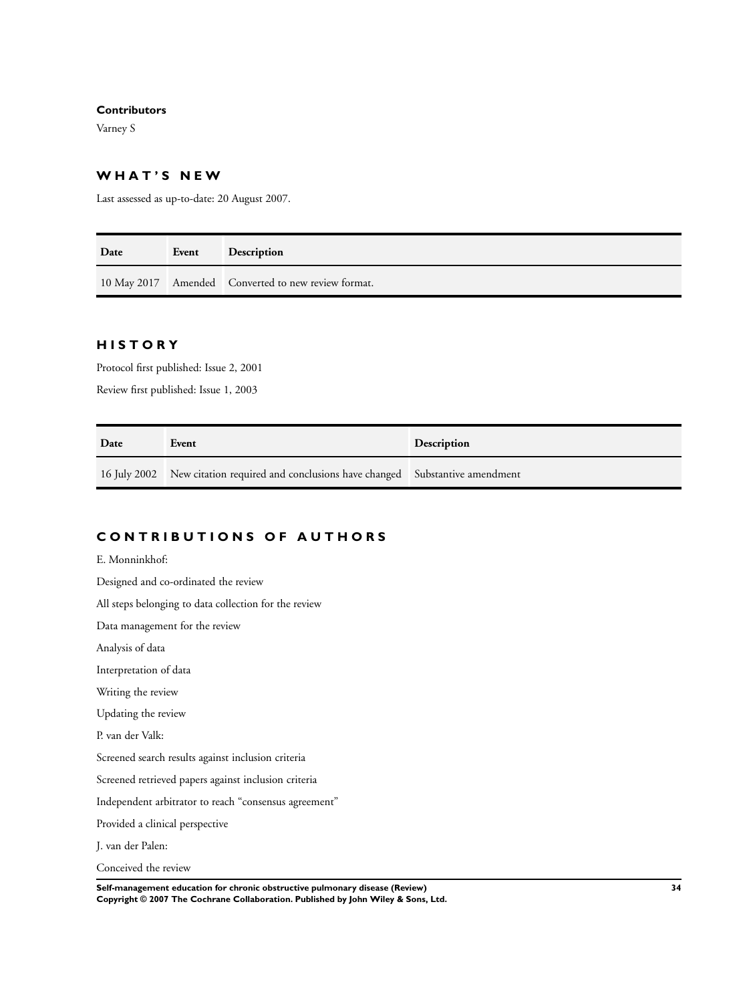### **Contributors**

Varney S

## **W H A T ' S N E W**

Last assessed as up-to-date: 20 August 2007.

| Date | Event | <b>Description</b>                                  |
|------|-------|-----------------------------------------------------|
|      |       | 10 May 2017 Amended Converted to new review format. |

## **H I S T O R Y**

Protocol first published: Issue 2, 2001

Review first published: Issue 1, 2003

| Date | Event                                                                                 | <b>Description</b> |
|------|---------------------------------------------------------------------------------------|--------------------|
|      | 16 July 2002 New citation required and conclusions have changed Substantive amendment |                    |

## **C O N T R I B U T I O N S O F A U T H O R S**

E. Monninkhof: Designed and co-ordinated the review

All steps belonging to data collection for the review

Data management for the review

Analysis of data

Interpretation of data

Writing the review

Updating the review

P. van der Valk:

Screened search results against inclusion criteria

Screened retrieved papers against inclusion criteria

Independent arbitrator to reach "consensus agreement"

Provided a clinical perspective

J. van der Palen:

Conceived the review

**Self-management education for chronic obstructive pulmonary disease (Review) 34 Copyright © 2007 The Cochrane Collaboration. Published by John Wiley & Sons, Ltd.**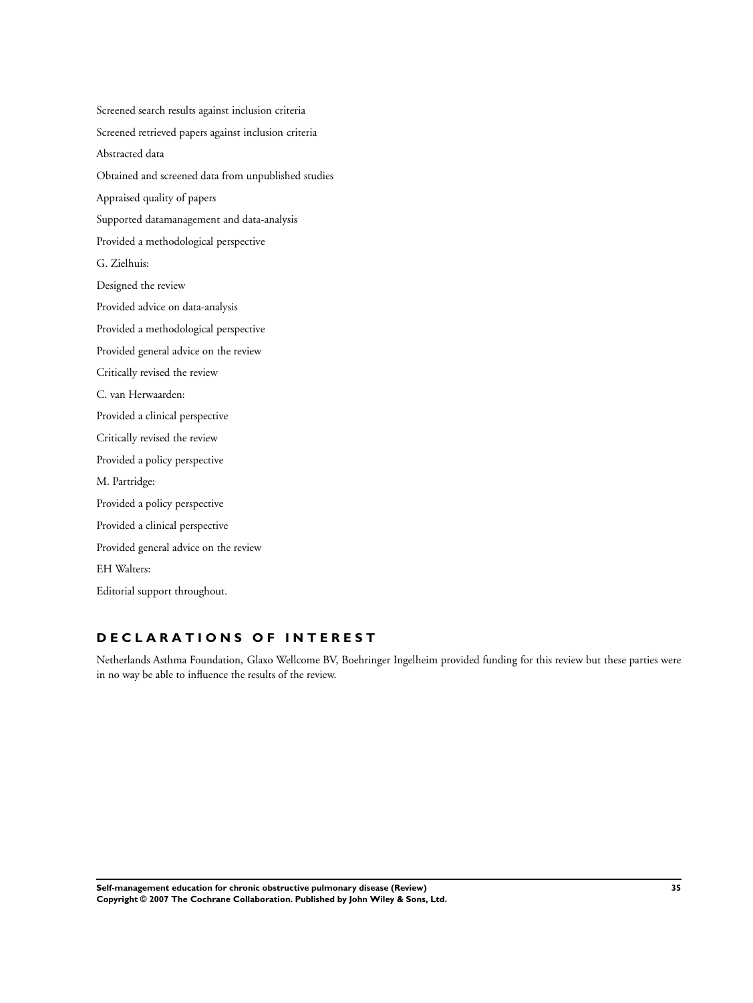Screened search results against inclusion criteria Screened retrieved papers against inclusion criteria Abstracted data Obtained and screened data from unpublished studies Appraised quality of papers Supported datamanagement and data-analysis Provided a methodological perspective G. Zielhuis: Designed the review Provided advice on data-analysis Provided a methodological perspective Provided general advice on the review Critically revised the review C. van Herwaarden: Provided a clinical perspective Critically revised the review Provided a policy perspective M. Partridge: Provided a policy perspective Provided a clinical perspective Provided general advice on the review EH Walters: Editorial support throughout.

## **D E C L A R A T I O N S O F I N T E R E S T**

Netherlands Asthma Foundation, Glaxo Wellcome BV, Boehringer Ingelheim provided funding for this review but these parties were in no way be able to influence the results of the review.